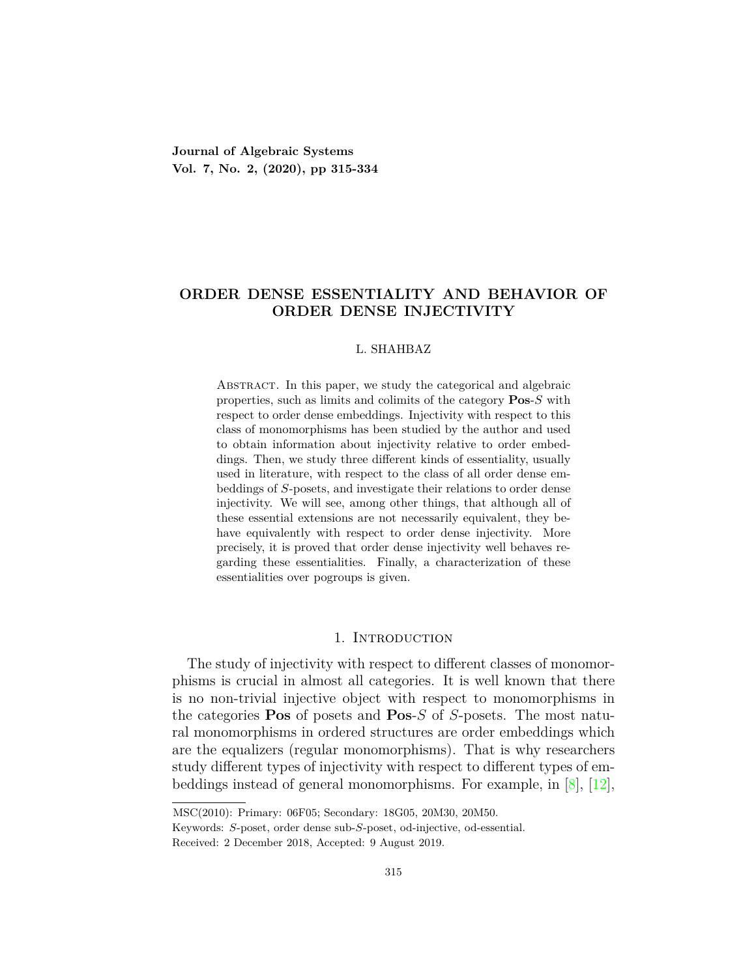**Journal of Algebraic Systems Vol. 7, No. 2, (2020), pp 315-334**

## **ORDER DENSE ESSENTIALITY AND BEHAVIOR OF ORDER DENSE INJECTIVITY**

#### L. SHAHBAZ

Abstract. In this paper, we study the categorical and algebraic properties, such as limits and colimits of the category **Pos**-*S* with respect to order dense embeddings. Injectivity with respect to this class of monomorphisms has been studied by the author and used to obtain information about injectivity relative to order embeddings. Then, we study three different kinds of essentiality, usually used in literature, with respect to the class of all order dense embeddings of *S*-posets, and investigate their relations to order dense injectivity. We will see, among other things, that although all of these essential extensions are not necessarily equivalent, they behave equivalently with respect to order dense injectivity. More precisely, it is proved that order dense injectivity well behaves regarding these essentialities. Finally, a characterization of these essentialities over pogroups is given.

## 1. Introduction

The study of injectivity with respect to different classes of monomorphisms is crucial in almost all categories. It is well known that there is no non-trivial injective object with respect to monomorphisms in the categories **Pos** of posets and **Pos**-*S* of *S*-posets. The most natural monomorphisms in ordered structures are order embeddings which are the equalizers (regular monomorphisms). That is why researchers study different types of injectivity with respect to different types of embeddings instead of general monomorphisms. For example, in [[8](#page-18-0)],[[12\]](#page-18-1),

MSC(2010): Primary: 06F05; Secondary: 18G05, 20M30, 20M50.

Keywords: *S*-poset, order dense sub-*S*-poset, od-injective, od-essential.

Received: 2 December 2018, Accepted: 9 August 2019.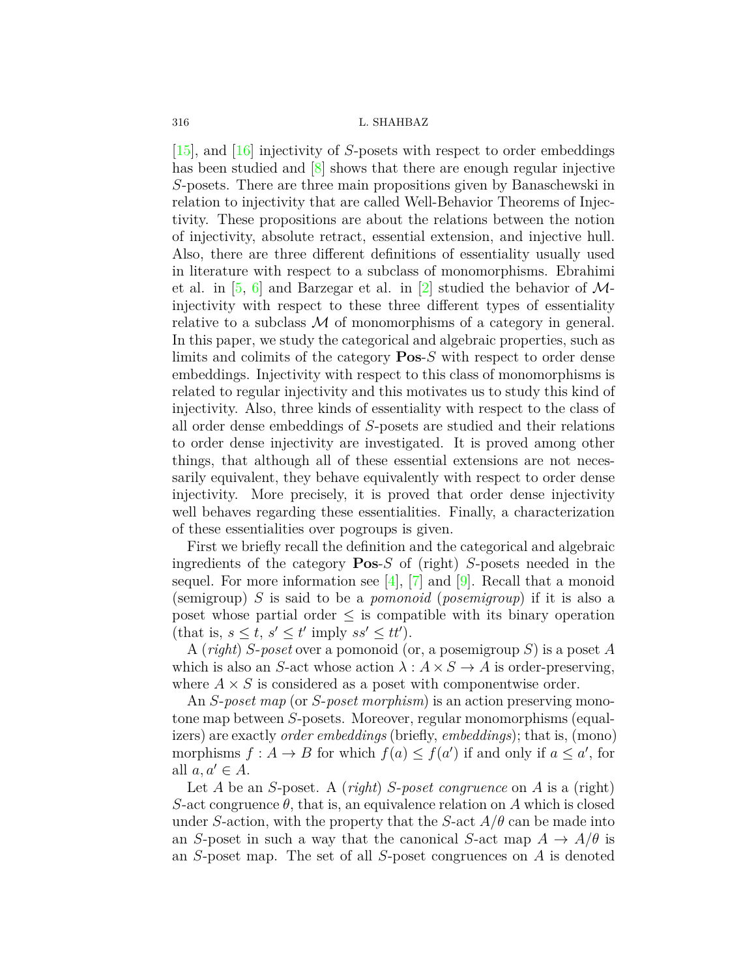[[15](#page-19-0)], and [\[16\]](#page-19-1) injectivity of *S*-posets with respect to order embeddings has been studied and  $\boxed{8}$  shows that there are enough regular injective *S*-posets. There are three main propositions given by Banaschewski in relation to injectivity that are called Well-Behavior Theorems of Injectivity. These propositions are about the relations between the notion of injectivity, absolute retract, essential extension, and injective hull. Also, there are three different definitions of essentiality usually used in literature with respect to a subclass of monomorphisms. Ebrahimi et al. in [\[5](#page-18-2), [6\]](#page-18-3) and Barzegar et al. in [[2\]](#page-18-4) studied the behavior of *M*injectivity with respect to these three different types of essentiality relative to a subclass  $M$  of monomorphisms of a category in general. In this paper, we study the categorical and algebraic properties, such as limits and colimits of the category **Pos**-*S* with respect to order dense embeddings. Injectivity with respect to this class of monomorphisms is related to regular injectivity and this motivates us to study this kind of injectivity. Also, three kinds of essentiality with respect to the class of all order dense embeddings of *S*-posets are studied and their relations to order dense injectivity are investigated. It is proved among other things, that although all of these essential extensions are not necessarily equivalent, they behave equivalently with respect to order dense injectivity. More precisely, it is proved that order dense injectivity well behaves regarding these essentialities. Finally, a characterization of these essentialities over pogroups is given.

First we briefly recall the definition and the categorical and algebraic ingredients of the category **Pos**-*S* of (right) *S*-posets needed in the sequel. For more information see  $[4]$ ,  $[7]$  $[7]$  and  $[9]$  $[9]$ . Recall that a monoid (semigroup) *S* is said to be a *pomonoid* (*posemigroup*) if it is also a poset whose partial order  $\leq$  is compatible with its binary operation  $(\text{that is, } s \leq t, s' \leq t' \text{ imply } ss' \leq tt').$ 

A (*right*) *S*-*poset* over a pomonoid (or, a posemigroup *S*) is a poset *A* which is also an *S*-act whose action  $\lambda : A \times S \to A$  is order-preserving, where  $A \times S$  is considered as a poset with componentwise order.

An *S*-*poset map* (or *S*-*poset morphism*) is an action preserving monotone map between *S*-posets. Moreover, regular monomorphisms (equalizers) are exactly *order embeddings* (briefly, *embeddings*); that is, (mono) morphisms  $f : A \to B$  for which  $f(a) \le f(a')$  if and only if  $a \le a'$ , for all  $a, a' \in A$ .

Let *A* be an *S*-poset. A (*right*) *S*-*poset congruence* on *A* is a (right) *S*-act congruence  $\theta$ , that is, an equivalence relation on *A* which is closed under *S*-action, with the property that the *S*-act  $A/\theta$  can be made into an *S*-poset in such a way that the canonical *S*-act map  $A \rightarrow A/\theta$  is an *S*-poset map. The set of all *S*-poset congruences on *A* is denoted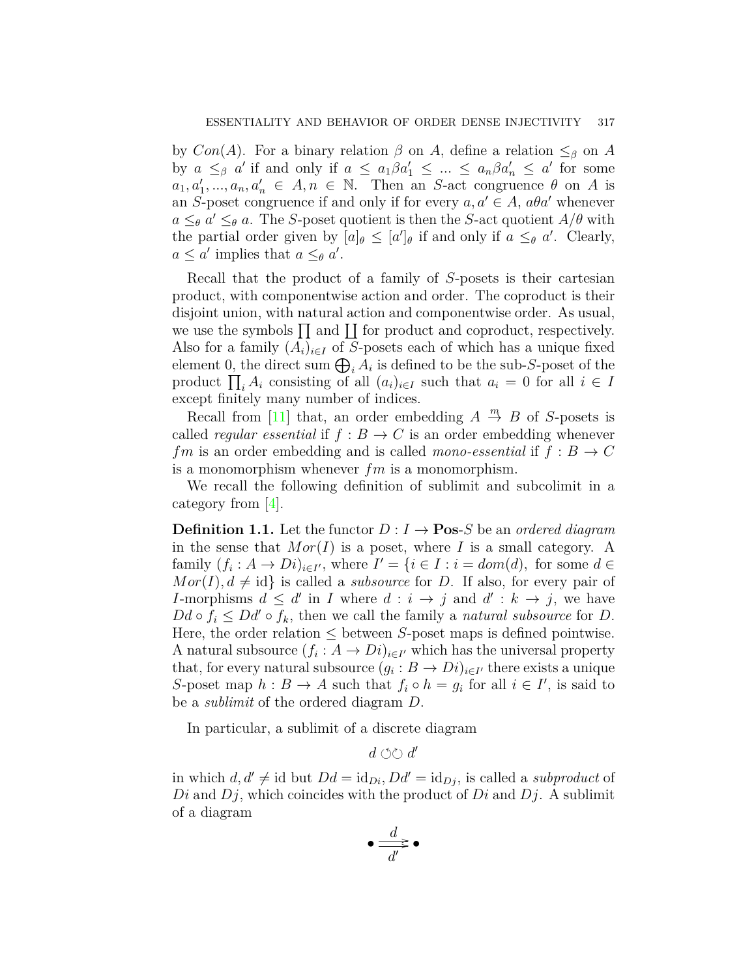by  $Con(A)$ . For a binary relation  $\beta$  on  $A$ , define a relation  $\leq_{\beta}$  on  $A$ by  $a \leq_{\beta} a'$  if and only if  $a \leq a_1 \beta a'_1 \leq ... \leq a_n \beta a'_n \leq a'$  for some  $a_1, a'_1, \ldots, a_n, a'_n \in A, n \in \mathbb{N}$ . Then an *S*-act congruence *θ* on *A* is an *S*-poset congruence if and only if for every  $a, a' \in A$ ,  $a\theta a'$  whenever  $a \leq_{\theta} a' \leq_{\theta} a$ . The *S*-poset quotient is then the *S*-act quotient  $A/\theta$  with the partial order given by  $[a]_\theta \leq [a']_\theta$  if and only if  $a \leq_\theta a'$ . Clearly,  $a \leq a'$  implies that  $a \leq_{\theta} a'$ .

Recall that the product of a family of *S*-posets is their cartesian product, with componentwise action and order. The coproduct is their disjoint union, with natural action and componentwise order. As usual, we use the symbols  $\prod$  and  $\prod$  for product and coproduct, respectively. Also for a family  $(A_i)_{i \in I}$  of *S*-posets each of which has a unique fixed element 0, the direct sum  $\bigoplus_i A_i$  is defined to be the sub-*S*-poset of the product  $\prod_i A_i$  consisting of all  $(a_i)_{i \in I}$  such that  $a_i = 0$  for all  $i \in I$ except finitely many number of indices.

Recall from [\[11\]](#page-18-8) that, an order embedding  $A \stackrel{m}{\rightarrow} B$  of *S*-posets is called *regular essential* if  $f : B \to C$  is an order embedding whenever *fm* is an order embedding and is called *mono-essential* if  $f : B \to C$ is a monomorphism whenever *fm* is a monomorphism.

We recall the following definition of sublimit and subcolimit in a category from [[4](#page-18-5)].

**Definition 1.1.** Let the functor  $D: I \rightarrow \textbf{Pos-}S$  be an *ordered diagram* in the sense that *Mor*(*I*) is a poset, where *I* is a small category. A family  $(f_i: A \to Di)_{i \in I'}$ , where  $I' = \{i \in I : i = dom(d)$ , for some  $d \in$  $Mor(I), d \neq id$  is called a *subsource* for *D*. If also, for every pair of *I*-morphisms  $d \leq d'$  in *I* where  $d : i \rightarrow j$  and  $d' : k \rightarrow j$ , we have  $Dd \circ f_i \leq Dd' \circ f_k$ , then we call the family a *natural subsource* for *D*. Here, the order relation  $\leq$  between *S*-poset maps is defined pointwise. A natural subsource  $(f_i : A \to Di)_{i \in I'}$  which has the universal property that, for every natural subsource  $(g_i : B \to Di)_{i \in I'}$  there exists a unique *S*-poset map  $h : B \to A$  such that  $f_i \circ h = g_i$  for all  $i \in I'$ , is said to be a *sublimit* of the ordered diagram *D*.

In particular, a sublimit of a discrete diagram

*d* ⟲⟳ *d ′*

in which  $d, d' \neq id$  but  $Dd = id_{Di}$ ,  $Dd' = id_{Di}$ , is called a *subproduct* of *Di* and *Dj*, which coincides with the product of *Di* and *Dj*. A sublimit of a diagram

$$
\bullet \frac{d}{d'} \bullet
$$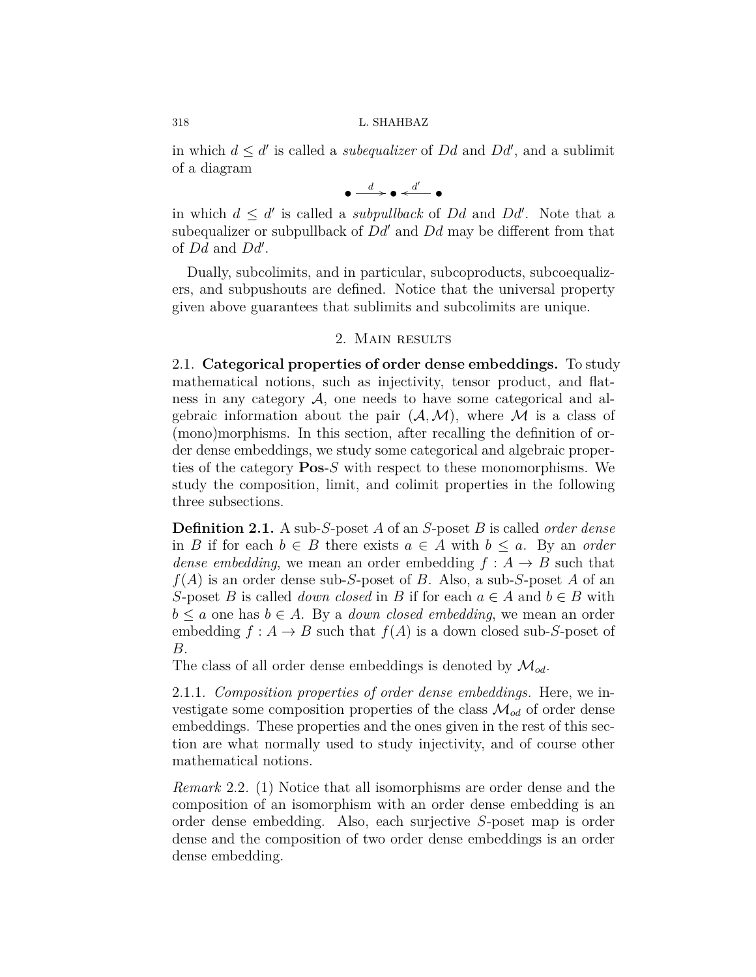in which  $d \leq d'$  is called a *subequalizer* of  $Dd$  and  $Dd'$ , and a sublimit of a diagram

$$
\bullet \xrightarrow{d} \bullet \xleftarrow{d'} \bullet
$$

in which  $d \leq d'$  is called a *subpullback* of *Dd* and *Dd'*. Note that a subequalizer or subpullback of *Dd′* and *Dd* may be different from that of *Dd* and *Dd′* .

Dually, subcolimits, and in particular, subcoproducts, subcoequalizers, and subpushouts are defined. Notice that the universal property given above guarantees that sublimits and subcolimits are unique.

## 2. Main results

2.1. **Categorical properties of order dense embeddings.** To study mathematical notions, such as injectivity, tensor product, and flatness in any category *A*, one needs to have some categorical and algebraic information about the pair  $(A, M)$ , where M is a class of (mono)morphisms. In this section, after recalling the definition of order dense embeddings, we study some categorical and algebraic properties of the category **Pos**-*S* with respect to these monomorphisms. We study the composition, limit, and colimit properties in the following three subsections.

**Definition 2.1.** A sub-*S*-poset *A* of an *S*-poset *B* is called *order dense* in *B* if for each *b ∈ B* there exists *a ∈ A* with *b ≤ a*. By an *order dense embedding*, we mean an order embedding  $f : A \rightarrow B$  such that *f*(*A*) is an order dense sub-*S*-poset of *B*. Also, a sub-*S*-poset *A* of an *S*-poset *B* is called *down closed* in *B* if for each  $a \in A$  and  $b \in B$  with  $b \le a$  one has  $b \in A$ . By a *down closed embedding*, we mean an order embedding  $f : A \to B$  such that  $f(A)$  is a down closed sub-*S*-poset of *B*.

The class of all order dense embeddings is denoted by *Mod*.

2.1.1. *Composition properties of order dense embeddings.* Here, we investigate some composition properties of the class  $\mathcal{M}_{od}$  of order dense embeddings. These properties and the ones given in the rest of this section are what normally used to study injectivity, and of course other mathematical notions.

*Remark* 2.2*.* (1) Notice that all isomorphisms are order dense and the composition of an isomorphism with an order dense embedding is an order dense embedding. Also, each surjective *S*-poset map is order dense and the composition of two order dense embeddings is an order dense embedding.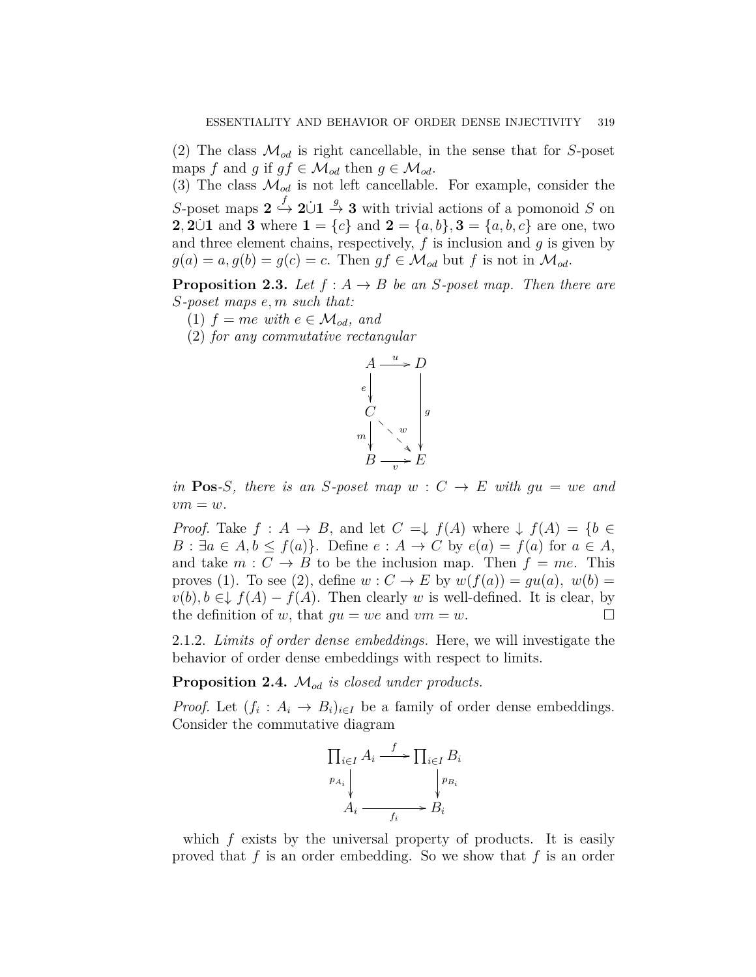(2) The class  $\mathcal{M}_{od}$  is right cancellable, in the sense that for *S*-poset maps *f* and *g* if  $gf \in \mathcal{M}_{od}$  then  $g \in \mathcal{M}_{od}$ .

(3) The class  $\mathcal{M}_{od}$  is not left cancellable. For example, consider the *S*-poset maps  $2 \stackrel{f}{\hookrightarrow} 2 \cup 1 \stackrel{g}{\rightarrow} 3$  with trivial actions of a pomonoid *S* on **2***,* **2***∪***i** and **3** where **1** = *{c}* and **2** = *{a, b},* **3** = *{a, b, <i>c}* are one, two and three element chains, respectively, *f* is inclusion and *g* is given by  $g(a) = a$ ,  $g(b) = g(c) = c$ . Then  $gf \in \mathcal{M}_{od}$  but *f* is not in  $\mathcal{M}_{od}$ .

**Proposition 2.3.** *Let*  $f : A \rightarrow B$  *be an S-poset map. Then there are S-poset maps e, m such that:*

- $(1)$   $f = me$  with  $e \in \mathcal{M}_{od}$ , and
- (2) *for any commutative rectangular*



*in* **Pos**–*S, there is an S-poset map*  $w : C \rightarrow E$  *with*  $gu = we$  *and*  $vm = w$ .

*Proof.* Take  $f : A \rightarrow B$ , and let  $C = \downarrow f(A)$  where  $\downarrow f(A) = \{b \in$ *B* :  $\exists a \in A, b \leq f(a)$ . Define  $e : A \rightarrow C$  by  $e(a) = f(a)$  for  $a \in A$ , and take  $m: C \rightarrow B$  to be the inclusion map. Then  $f = me$ . This proves (1). To see (2), define  $w : C \to E$  by  $w(f(a)) = qu(a), w(b) =$  $v(b), b \in \downarrow f(A) - f(A)$ . Then clearly *w* is well-defined. It is clear, by the definition of *w*, that  $gu = we$  and  $vm = w$ . □

2.1.2. *Limits of order dense embeddings.* Here, we will investigate the behavior of order dense embeddings with respect to limits.

<span id="page-4-0"></span>**Proposition 2.4.** *Mod is closed under products.*

*Proof.* Let  $(f_i : A_i \to B_i)_{i \in I}$  be a family of order dense embeddings. Consider the commutative diagram



which  $f$  exists by the universal property of products. It is easily proved that *f* is an order embedding. So we show that *f* is an order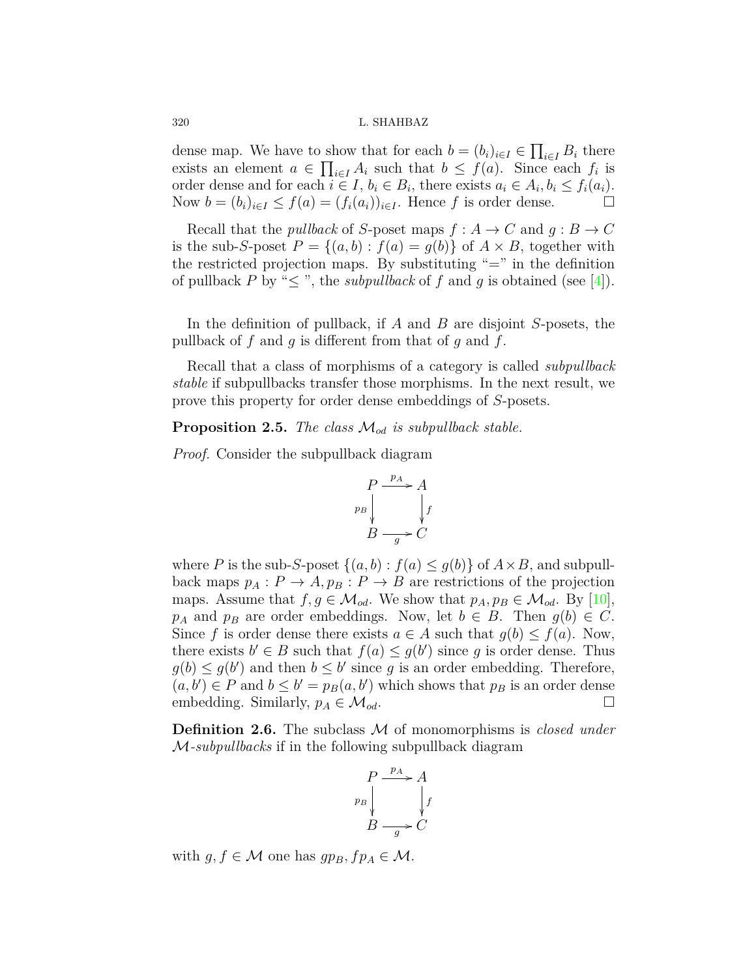dense map. We have to show that for each  $b = (b_i)_{i \in I} \in \prod_{i \in I} B_i$  there exists an element  $a \in \prod_{i \in I} A_i$  such that  $b \leq f(a)$ . Since each  $f_i$  is order dense and for each  $i \in I$ ,  $b_i \in B_i$ , there exists  $a_i \in A_i$ ,  $b_i \le f_i(a_i)$ . Now  $b = (b_i)_{i \in I} \le f(a) = (f_i(a_i))_{i \in I}$ . Hence f is order dense.  $\Box$ 

Recall that the *pullback* of *S*-poset maps  $f : A \to C$  and  $g : B \to C$ is the sub-*S*-poset  $P = \{(a, b) : f(a) = g(b)\}\$  of  $A \times B$ , together with the restricted projection maps. By substituting  $"="$  in the definition of pullback *P* by " $\leq$ ", the *subpullback* of *f* and *g* is obtained (see [\[4](#page-18-5)]).

In the definition of pullback, if *A* and *B* are disjoint *S*-posets, the pullback of *f* and *g* is different from that of *g* and *f*.

Recall that a class of morphisms of a category is called *subpullback stable* if subpullbacks transfer those morphisms. In the next result, we prove this property for order dense embeddings of *S*-posets.

**Proposition 2.5.** *The class Mod is subpullback stable.*

*Proof.* Consider the subpullback diagram



where *P* is the sub-*S*-poset  $\{(a, b) : f(a) \leq g(b)\}$  of  $A \times B$ , and subpullback maps  $p_A : P \to A$ ,  $p_B : P \to B$  are restrictions of the projection maps.Assume that  $f, g \in \mathcal{M}_{od}$ . We show that  $p_A, p_B \in \mathcal{M}_{od}$ . By [[10\]](#page-18-9), *p<sub>A</sub>* and *p<sub>B</sub>* are order embeddings. Now, let  $b \in B$ . Then  $g(b) \in C$ . Since *f* is order dense there exists  $a \in A$  such that  $g(b) \leq f(a)$ . Now, there exists  $b' \in B$  such that  $f(a) \leq g(b')$  since g is order dense. Thus  $g(b) \le g(b')$  and then  $b \le b'$  since g is an order embedding. Therefore,  $(a, b') \in P$  and  $b \leq b' = p_B(a, b')$  which shows that  $p_B$  is an order dense embedding. Similarly,  $p_A \in \mathcal{M}_{od}$ .

**Definition 2.6.** The subclass *M* of monomorphisms is *closed under M-subpullbacks* if in the following subpullback diagram

$$
\begin{array}{c}\nP \xrightarrow{p_A} A \\
p_B \downarrow \\
B \xrightarrow{g} C\n\end{array}
$$

with  $g, f \in \mathcal{M}$  one has  $gp_B, fp_A \in \mathcal{M}$ .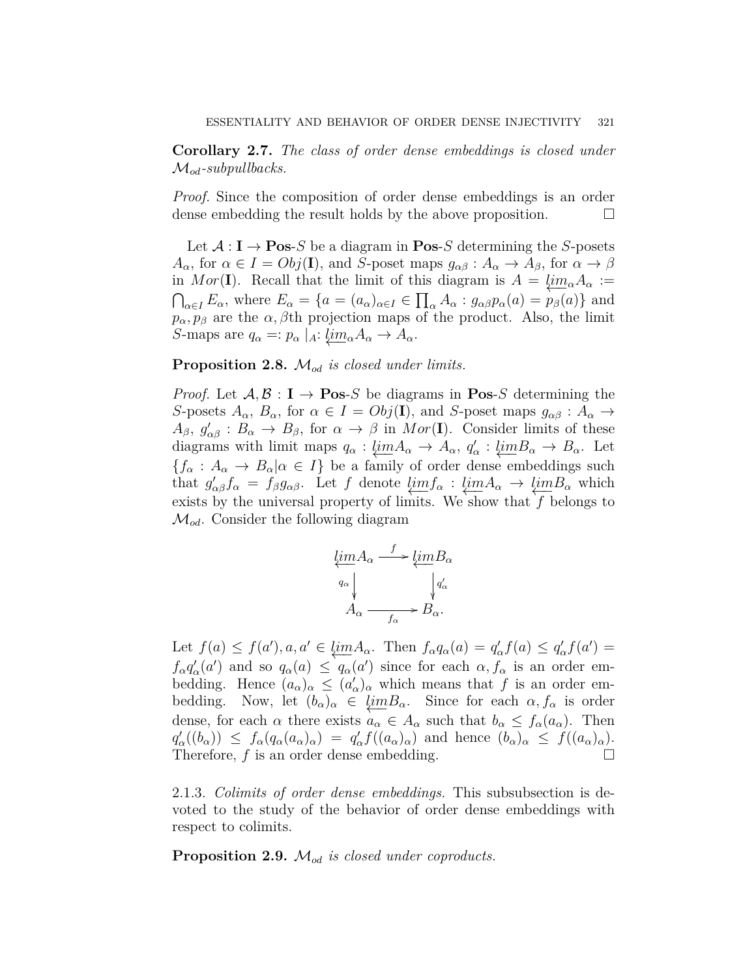**Corollary 2.7.** *The class of order dense embeddings is closed under Mod-subpullbacks.*

*Proof.* Since the composition of order dense embeddings is an order dense embedding the result holds by the above proposition.  $\Box$ 

Let  $A: I \rightarrow \textbf{Pos-}S$  be a diagram in  $\textbf{Pos-}S$  determining the *S*-posets  $A_{\alpha}$ , for  $\alpha \in I = Obj(\mathbf{I})$ , and *S*-poset maps  $g_{\alpha\beta}: A_{\alpha} \to A_{\beta}$ , for  $\alpha \to \beta$ in *Mor*(**I**). Recall that the limit of this diagram is  $A = \lim_{\alpha} A_{\alpha}$  :=  $\bigcap_{\alpha \in I} E_{\alpha}$ , where  $E_{\alpha} = \{a = (a_{\alpha})_{\alpha \in I} \in \prod_{\alpha} A_{\alpha} : g_{\alpha\beta}p_{\alpha}(a) = p_{\beta}(a)\}\$  and  $p_{\alpha}, p_{\beta}$  are the  $\alpha, \beta$ th projection maps of the product. Also, the limit *S*-maps are  $q_{\alpha} =: p_{\alpha} |_{A}: \underline{lim}_{\alpha} A_{\alpha} \to A_{\alpha}.$ 

## **Proposition 2.8.** *Mod is closed under limits.*

*Proof.* Let  $A, B : I \rightarrow \textbf{Pos-}S$  be diagrams in  $\textbf{Pos-}S$  determining the *S*-posets  $A_{\alpha}$ ,  $B_{\alpha}$ , for  $\alpha \in I = Obj(\mathbf{I})$ , and *S*-poset maps  $g_{\alpha\beta}: A_{\alpha} \to$  $A_{\beta}$ ,  $g'_{\alpha\beta}$  :  $B_{\alpha} \to B_{\beta}$ , for  $\alpha \to \beta$  in  $Mor(I)$ . Consider limits of these diagrams with limit maps  $q_{\alpha} : \underleftarrow{\lim} A_{\alpha} \to A_{\alpha}, q'_{\alpha} : \underleftarrow{\lim} B_{\alpha} \to B_{\alpha}$ . Let  ${f_a : A_a \to B_a | \alpha \in I}$  be a family of order dense embeddings such that  $g'_{\alpha\beta}f_{\alpha} = f_{\beta}g_{\alpha\beta}$ . Let *f* denote  $\lim_{\alpha \to \infty} f_{\alpha} : \lim_{\alpha \to \infty} A_{\alpha} \to \lim_{\alpha \to \infty} B_{\alpha}$  which exists by the universal property of limits. We show that  $f$  belongs to *Mod*. Consider the following diagram

$$
\underbrace{\lim_{q_{\alpha}} A_{\alpha}}_{A_{\alpha}} \xrightarrow{f} \underbrace{\lim_{q_{\alpha}} B_{\alpha}}_{f_{\alpha}} B_{\alpha}.
$$

Let  $f(a) \le f(a')$ ,  $a, a' \in \underbrace{\lim A_{\alpha}}$ . Then  $f_{\alpha}q_{\alpha}(a) = q'_{\alpha}f(a) \le q'_{\alpha}f(a') =$  $f_{\alpha}q'_{\alpha}(a')$  and so  $q_{\alpha}(a) \leq q_{\alpha}(a')$  since for each  $\alpha, f_{\alpha}$  is an order embedding. Hence  $(a_{\alpha})_{\alpha} \leq (a'_{\alpha})_{\alpha}$  which means that *f* is an order embedding. Now, let  $(b_{\alpha})_{\alpha} \in \underline{\lim} B_{\alpha}$ . Since for each  $\alpha, f_{\alpha}$  is order dense, for each  $\alpha$  there exists  $a_{\alpha} \in A_{\alpha}$  such that  $b_{\alpha} \leq f_{\alpha}(a_{\alpha})$ . Then  $q'_\alpha((b_\alpha)) \leq f_\alpha(q_\alpha(a_\alpha)_\alpha) = q'_\alpha f((a_\alpha)_\alpha)$  and hence  $(b_\alpha)_\alpha \leq f((a_\alpha)_\alpha)$ . Therefore,  $f$  is an order dense embedding.  $\Box$ 

2.1.3. *Colimits of order dense embeddings.* This subsubsection is devoted to the study of the behavior of order dense embeddings with respect to colimits.

**Proposition 2.9.** *Mod is closed under coproducts.*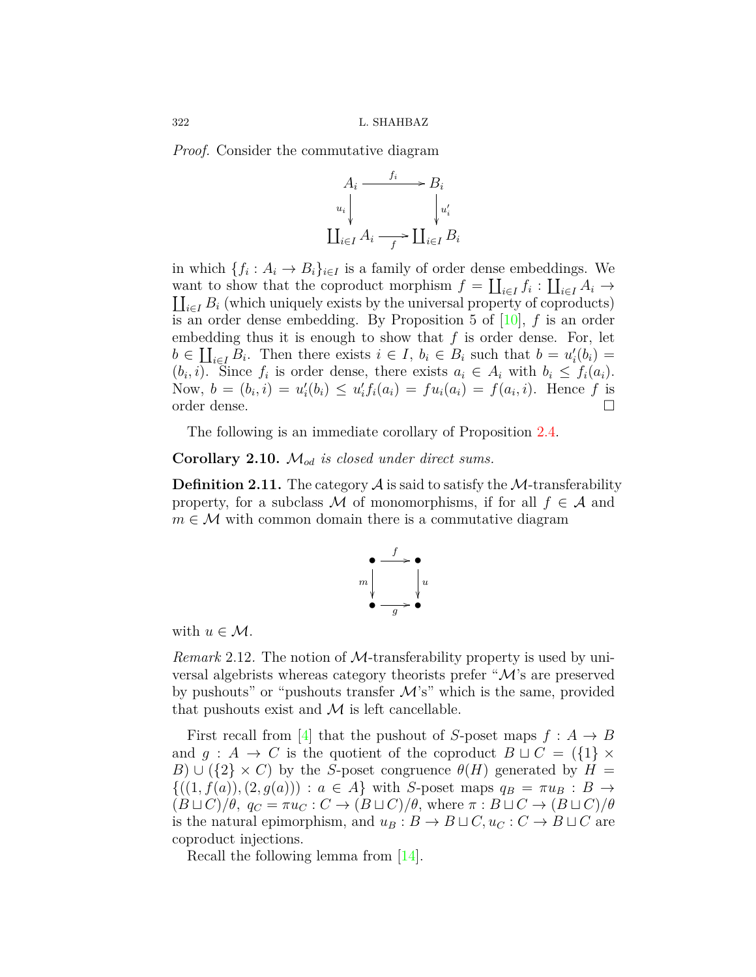*Proof.* Consider the commutative diagram



in which  $\{f_i: A_i \to B_i\}_{i \in I}$  is a family of order dense embeddings. We want to show that the coproduct morphism  $f = \coprod_{i \in I} f_i : \coprod_{i \in I} A_i \to$  $\coprod_{i\in I} B_i$  (which uniquely exists by the universal property of coproducts) is an order dense embedding. By Proposition 5 of [[10\]](#page-18-9), *f* is an order embedding thus it is enough to show that *f* is order dense. For, let  $b \in \coprod_{i \in I} B_i$ . Then there exists  $i \in I$ ,  $b_i \in B_i$  such that  $b = u'_i(b_i) =$  $(b_i, i)$ . Since  $f_i$  is order dense, there exists  $a_i \in A_i$  with  $b_i \leq f_i(a_i)$ . Now,  $b = (b_i, i) = u'_i(b_i) \le u'_i f_i(a_i) = f u_i(a_i) = f(a_i, i)$ . Hence f is order dense. □

The following is an immediate corollary of Proposition [2.4.](#page-4-0)

**Corollary 2.10.** *Mod is closed under direct sums.*

**Definition 2.11.** The category  $\mathcal A$  is said to satisfy the  $\mathcal M$ -transferability property, for a subclass *M* of monomorphisms, if for all  $f \in A$  and  $m \in \mathcal{M}$  with common domain there is a commutative diagram



with  $u \in \mathcal{M}$ .

*Remark* 2.12*.* The notion of *M*-transferability property is used by universal algebrists whereas category theorists prefer "*M*'s are preserved by pushouts" or "pushouts transfer *M*'s" which is the same, provided that pushouts exist and  $\mathcal M$  is left cancellable.

First recall from [\[4](#page-18-5)] that the pushout of *S*-poset maps  $f : A \rightarrow B$ and  $g : A \to C$  is the quotient of the coproduct  $B \sqcup C = \{\{1\} \times$ *B*)  $\cup$  ({2}  $\times$  *C*) by the *S*-poset congruence  $\theta$ (*H*) generated by *H* =  $\{(1, f(a)), (2, g(a))\}$ :  $a \in A\}$  with *S*-poset maps  $q_B = \pi u_B : B \to$  $(B \sqcup C)/\theta$ ,  $q_C = \pi u_C : C \rightarrow (B \sqcup C)/\theta$ , where  $\pi : B \sqcup C \rightarrow (B \sqcup C)/\theta$ is the natural epimorphism, and  $u_B: B \to B \sqcup C$ ,  $u_C: C \to B \sqcup C$  are coproduct injections.

Recall the following lemma from[[14\]](#page-19-2).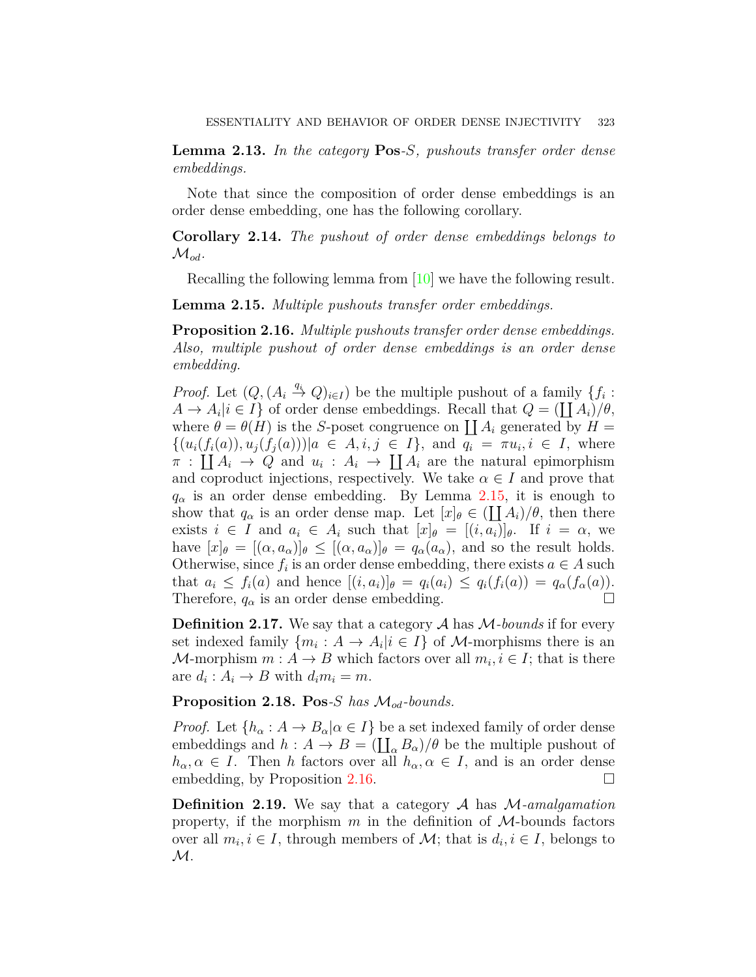<span id="page-8-2"></span>**Lemma 2.13.** *In the category* **Pos***-S, pushouts transfer order dense embeddings.*

Note that since the composition of order dense embeddings is an order dense embedding, one has the following corollary.

**Corollary 2.14.** *The pushout of order dense embeddings belongs to*  $\mathcal{M}_{od}$ *.* 

Recalling the following lemma from [\[10\]](#page-18-9) we have the following result.

<span id="page-8-0"></span>**Lemma 2.15.** *Multiple pushouts transfer order embeddings.*

<span id="page-8-1"></span>**Proposition 2.16.** *Multiple pushouts transfer order dense embeddings. Also, multiple pushout of order dense embeddings is an order dense embedding.*

*Proof.* Let  $(Q, (A_i \stackrel{q_i}{\to} Q)_{i \in I})$  be the multiple pushout of a family  $\{f_i:$  $A \to A_i | i \in I$  of order dense embeddings. Recall that  $Q = (\coprod A_i)/\theta$ , where  $\theta = \theta(H)$  is the *S*-poset congruence on  $\prod A_i$  generated by  $H =$  $\{(u_i(f_i(a)), u_j(f_j(a))) | a \in A, i, j \in I\}$ , and  $q_i = \pi u_i, i \in I$ , where  $\pi$  :  $\prod A_i \to Q$  and  $u_i$  :  $A_i \to \prod A_i$  are the natural epimorphism and coproduct injections, respectively. We take  $\alpha \in I$  and prove that  $q_\alpha$  is an order dense embedding. By Lemma [2.15,](#page-8-0) it is enough to show that  $q_{\alpha}$  is an order dense map. Let  $[x]_{\theta} \in (\coprod A_i)/\theta$ , then there exists  $i \in I$  and  $a_i \in A_i$  such that  $[x]_\theta = [(i, a_i)]_\theta$ . If  $i = \alpha$ , we have  $[x]_\theta = [(\alpha, a_\alpha)]_\theta \leq [(\alpha, a_\alpha)]_\theta = q_\alpha(a_\alpha)$ , and so the result holds. Otherwise, since  $f_i$  is an order dense embedding, there exists  $a \in A$  such that  $a_i \leq f_i(a)$  and hence  $[(i, a_i)]_\theta = q_i(a_i) \leq q_i(f_i(a)) = q_\alpha(f_\alpha(a))$ . Therefore,  $q_{\alpha}$  is an order dense embedding.  $\Box$ 

**Definition 2.17.** We say that a category *A* has *M-bounds* if for every set indexed family  ${m_i : A \to A_i | i \in I}$  of *M*-morphisms there is an *M*-morphism  $m: A \to B$  which factors over all  $m_i, i \in I$ ; that is there are  $d_i: A_i \to B$  with  $d_i m_i = m$ .

**Proposition 2.18. Pos***-S has Mod-bounds.*

*Proof.* Let  $\{h_{\alpha}: A \to B_{\alpha} | \alpha \in I\}$  be a set indexed family of order dense embeddings and  $h : A \to B = (\coprod_{\alpha} B_{\alpha})/\theta$  be the multiple pushout of  $h_{\alpha}, \alpha \in I$ . Then *h* factors over all  $h_{\alpha}, \alpha \in I$ , and is an order dense embedding, by Proposition [2.16](#page-8-1).  $\Box$ 

**Definition 2.19.** We say that a category *A* has *M-amalgamation* property, if the morphism *m* in the definition of *M*-bounds factors over all  $m_i, i \in I$ , through members of  $\mathcal{M}$ ; that is  $d_i, i \in I$ , belongs to *M*.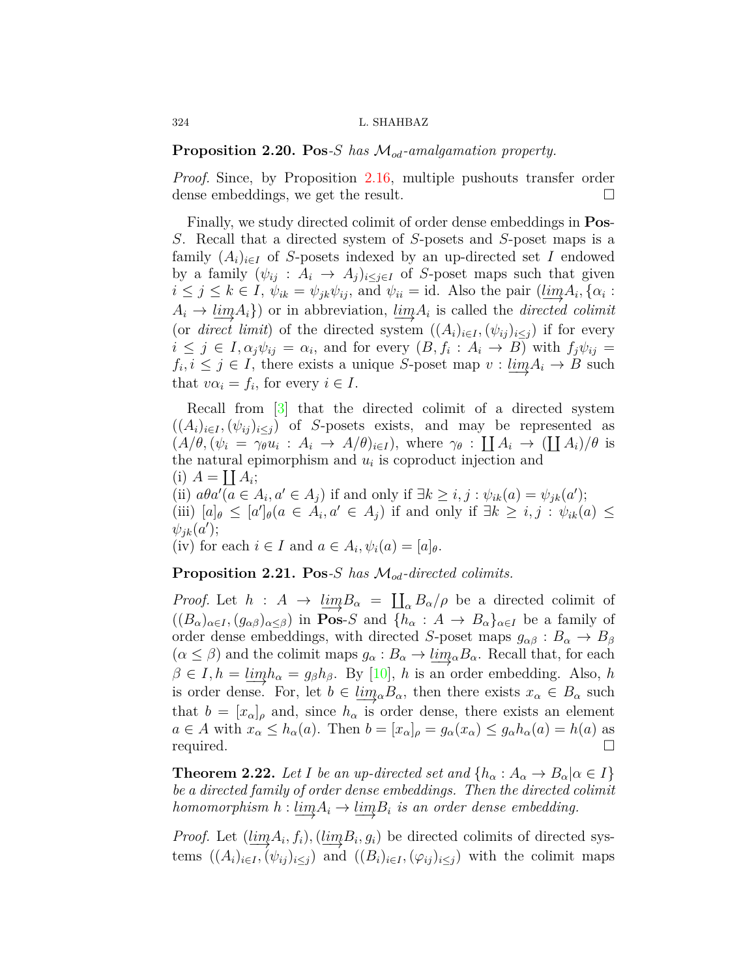**Proposition 2.20. Pos***-S has Mod-amalgamation property.*

*Proof.* Since, by Proposition [2.16](#page-8-1), multiple pushouts transfer order dense embeddings, we get the result.  $\Box$ 

Finally, we study directed colimit of order dense embeddings in **Pos**-*S*. Recall that a directed system of *S*-posets and *S*-poset maps is a family  $(A_i)_{i \in I}$  of *S*-posets indexed by an up-directed set *I* endowed by a family  $(\psi_{ij}: A_i \to A_j)_{i \leq j \in I}$  of *S*-poset maps such that given  $i \leq j \leq k \in I$ ,  $\psi_{ik} = \psi_{jk}\psi_{ij}$ , and  $\psi_{ii} = id$ . Also the pair  $(\underline{lim}A_i, {\alpha_i : \alpha_i \leq \alpha_i})$  $A_i \rightarrow \underbrace{\lim A_i}$  or in abbreviation,  $\underline{\lim A_i}$  is called the *directed colimit* (or *direct limit*) of the directed system  $((A_i)_{i \in I}, (\psi_{ij})_{i \leq j})$  if for every  $i \leq j \in I$ ,  $\alpha_j \psi_{ij} = \alpha_i$ , and for every  $(B, f_i : A_i \to B)$  with  $f_j \psi_{ij} =$  $f_i, i \leq j \in I$ , there exists a unique *S*-poset map  $v : \underbrace{lim} A_i \to B$  such that  $v\alpha_i = f_i$ , for every  $i \in I$ .

Recall from [[3\]](#page-18-10) that the directed colimit of a directed system  $((A_i)_{i \in I}, (\psi_{ij})_{i \leq j})$  of *S*-posets exists, and may be represented as  $(A/\theta, (\psi_i = \gamma_i \psi_i : A_i \to A/\theta)_{i \in I}),$  where  $\gamma_{\theta} : \coprod A_i \to (\coprod A_i)/\theta$  is the natural epimorphism and  $u_i$  is coproduct injection and (i)  $A = \coprod A_i;$ (ii)  $a\theta a'(a \in A_i, a' \in A_j)$  if and only if  $\exists k \geq i, j : \psi_{ik}(a) = \psi_{jk}(a')$ ; (iii)  $[a]_\theta \leq [a']_\theta (a \in A_i, a' \in A_j)$  if and only if  $\exists k \geq i, j : \psi_{ik}(a) \leq j$  $\psi_{jk}(a')$ ; (iv) for each  $i \in I$  and  $a \in A_i$ ,  $\psi_i(a) = [a]_{\theta}$ .

<span id="page-9-0"></span>**Proposition 2.21. Pos***-S has Mod-directed colimits.*

*Proof.* Let  $h : A \to \lim_{\alpha \to \infty} B_{\alpha} = \prod_{\alpha} B_{\alpha}/\rho$  be a directed colimit of  $((B_{\alpha})_{\alpha\in I}, (g_{\alpha\beta})_{\alpha\leq\beta})$  in **Pos-**S and  $\{h_{\alpha}: A \to B_{\alpha}\}_{\alpha\in I}$  be a family of order dense embeddings, with directed *S*-poset maps  $g_{\alpha\beta}: B_{\alpha} \to B_{\beta}$  $(\alpha \leq \beta)$  and the colimit maps  $g_{\alpha}: B_{\alpha} \to \underline{\lim}_{\alpha} B_{\alpha}$ . Recall that, for each  $\beta \in I, h = \underline{\lim} h_{\alpha} = g_{\beta}h_{\beta}$ . By [\[10\]](#page-18-9), *h* is an order embedding. Also, *h* is order dense. For, let  $b \in \underline{\lim}_{\alpha} B_{\alpha}$ , then there exists  $x_{\alpha} \in B_{\alpha}$  such that  $b = [x_{\alpha}]_{\rho}$  and, since  $h_{\alpha}$  is order dense, there exists an element  $a \in A$  with  $x_{\alpha} \leq h_{\alpha}(a)$ . Then  $b = [x_{\alpha}]_{\rho} = g_{\alpha}(x_{\alpha}) \leq g_{\alpha}h_{\alpha}(a) = h(a)$  as required.  $\Box$ 

**Theorem 2.22.** Let I be an up-directed set and  $\{h_\alpha : A_\alpha \to B_\alpha | \alpha \in I\}$ *be a directed family of order dense embeddings. Then the directed colimit homomorphism*  $h: \lim_{n \to \infty} A_i \to \lim_{n \to \infty} B_i$  *is an order dense embedding.* 

*Proof.* Let  $(\underbrace{\lim_{i} A_i, f_i}), (\underbrace{\lim_{i} B_i, g_i})$  be directed colimits of directed systems  $((A_i)_{i\in I}, (\psi_{ij})_{i\leq j})$  and  $((B_i)_{i\in I}, (\varphi_{ij})_{i\leq j})$  with the colimit maps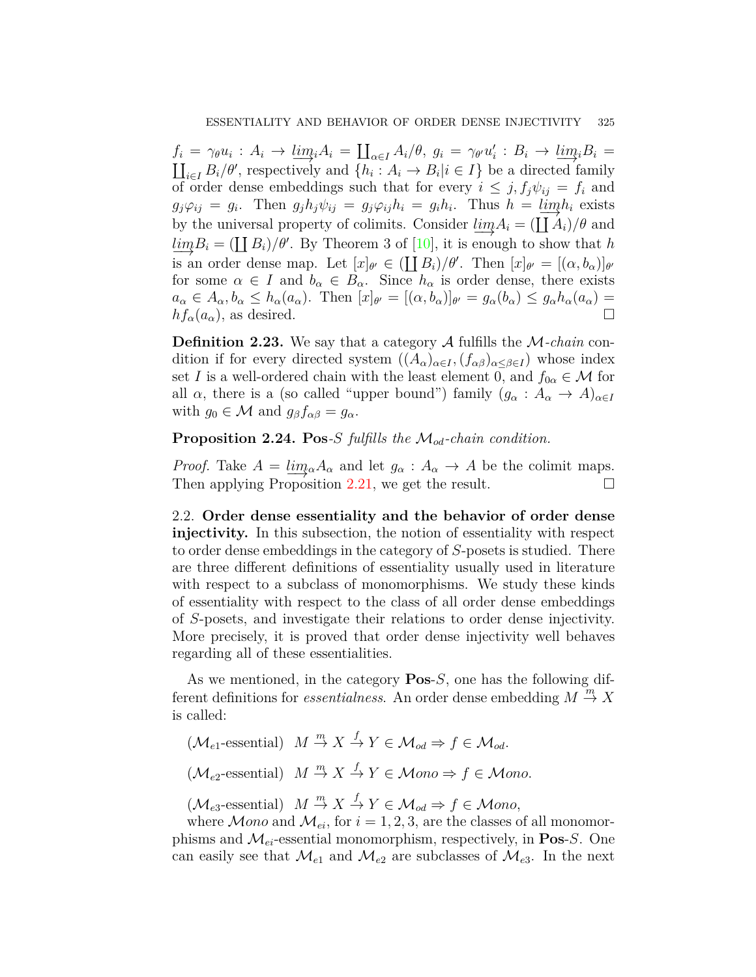$f_i = \gamma_{\theta} u_i : A_i \to \underline{\lim}_i A_i = \coprod_{\alpha \in I} A_i / \theta, g_i = \gamma_{\theta'} u'_i : B_i \to \underline{\lim}_i B_i = \coprod_{i \in I} B_i / \theta'$ , respectively and  $\{h_i : A_i \to B_i | i \in I\}$  be a directed family  $i \in I$  *B*<sub>*i*</sub>/ $\theta'$ , respectively and  $\{h_i : A_i \to B_i | i \in I\}$  be a directed family of order dense embeddings such that for every  $i \leq j, f_j \psi_{ij} = f_i$  and  $g_j \varphi_{ij} = g_i$ . Then  $g_j h_j \psi_{ij} = g_j \varphi_{ij} h_i = g_i h_i$ . Thus  $h = \lim_{i \to \infty} h_i$  exists by the universal property of colimits. Consider  $\lim_{i \to \infty} A_i = (\prod_{i} A_i)/\theta$  and  $\lim_{n \to \infty} B_i = (\prod_i B_i)/\theta'$ . By Theorem 3 of [\[10\]](#page-18-9), it is enough to show that *h* is an order dense map. Let  $[x]_{\theta'} \in (\coprod B_i)/\theta'$ . Then  $[x]_{\theta'} = [(\alpha, b_{\alpha})]_{\theta'}$ for some  $\alpha \in I$  and  $b_{\alpha} \in B_{\alpha}$ . Since  $h_{\alpha}$  is order dense, there exists  $a_{\alpha} \in A_{\alpha}, b_{\alpha} \leq h_{\alpha}(a_{\alpha}).$  Then  $[x]_{\theta'} = [(\alpha, b_{\alpha})]_{\theta'} = g_{\alpha}(b_{\alpha}) \leq g_{\alpha}h_{\alpha}(a_{\alpha}) =$  $hf_{\alpha}(a_{\alpha})$ , as desired.  $\Box$ 

**Definition 2.23.** We say that a category *A* fulfills the *M-chain* condition if for every directed system  $((A_{\alpha})_{\alpha \in I}, (f_{\alpha \beta})_{\alpha \leq \beta \in I})$  whose index set *I* is a well-ordered chain with the least element 0, and  $f_{0\alpha} \in \mathcal{M}$  for all  $\alpha$ , there is a (so called "upper bound") family  $(g_{\alpha}: A_{\alpha} \to A)_{\alpha \in I}$ with  $g_0 \in \mathcal{M}$  and  $g_\beta f_{\alpha\beta} = g_\alpha$ .

**Proposition 2.24. Pos***-S fulfills the Mod-chain condition.*

*Proof.* Take  $A = \lim_{\alpha} A_{\alpha}$  and let  $g_{\alpha} : A_{\alpha} \to A$  be the colimit maps.<br>Then applying Proposition 2.21, we get the result. Then applying Proposition  $2.21$ , we get the result.

2.2. **Order dense essentiality and the behavior of order dense injectivity.** In this subsection, the notion of essentiality with respect to order dense embeddings in the category of *S*-posets is studied. There are three different definitions of essentiality usually used in literature with respect to a subclass of monomorphisms. We study these kinds of essentiality with respect to the class of all order dense embeddings of *S*-posets, and investigate their relations to order dense injectivity. More precisely, it is proved that order dense injectivity well behaves regarding all of these essentialities.

As we mentioned, in the category **Pos**-*S*, one has the following different definitions for *essentialness*. An order dense embedding  $M \stackrel{m}{\rightarrow} X$ is called:

 $(M_{e1}$ -essential)  $M \stackrel{m}{\rightarrow} X \stackrel{f}{\rightarrow} Y \in \mathcal{M}_{od} \Rightarrow f \in \mathcal{M}_{od}$ .

 $(\mathcal{M}_{e2}$ -essential)  $M \stackrel{m}{\rightarrow} X \stackrel{f}{\rightarrow} Y \in \mathcal{M}$ *ono*  $\Rightarrow f \in \mathcal{M}$ *ono*.

 $(\mathcal{M}_{e3}$ -essential)  $M \stackrel{m}{\rightarrow} X \stackrel{f}{\rightarrow} Y \in \mathcal{M}_{od} \Rightarrow f \in \mathcal{M}$ ono,

where  $Mono$  and  $M_{ei}$ , for  $i = 1, 2, 3$ , are the classes of all monomorphisms and  $\mathcal{M}_{ei}$ -essential monomorphism, respectively, in **Pos**-*S*. One can easily see that  $\mathcal{M}_{e1}$  and  $\mathcal{M}_{e2}$  are subclasses of  $\mathcal{M}_{e3}$ . In the next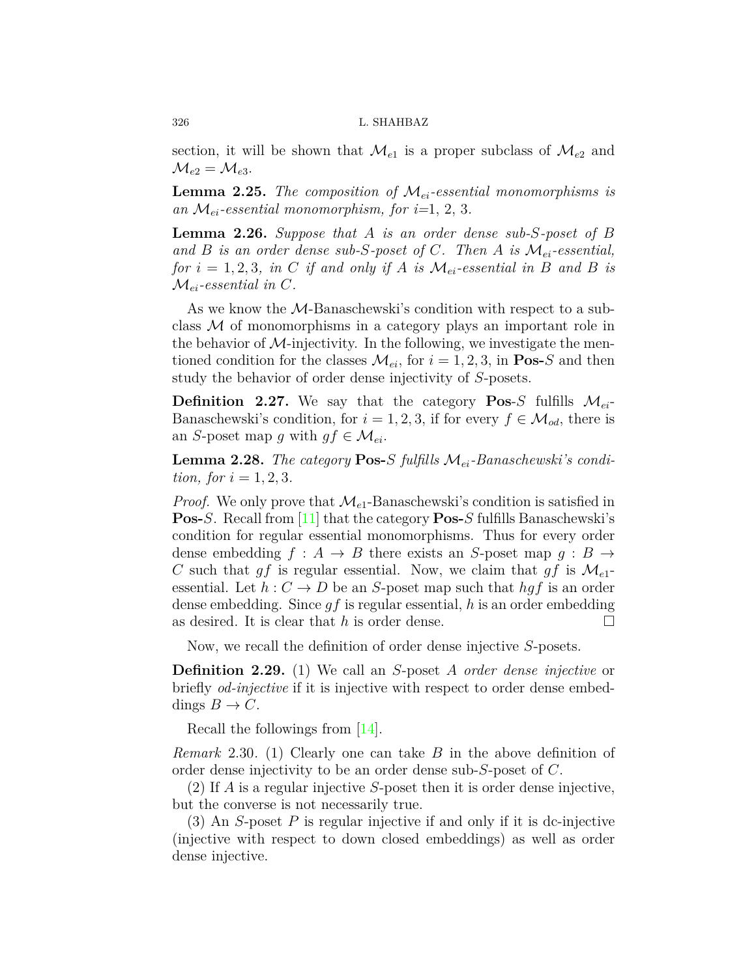section, it will be shown that  $\mathcal{M}_{e1}$  is a proper subclass of  $\mathcal{M}_{e2}$  and  $\mathcal{M}_{e2} = \mathcal{M}_{e3}.$ 

**Lemma 2.25.** *The composition of Mei-essential monomorphisms is* an  $\mathcal{M}_{ei}$ -essential monomorphism, for  $i=1, 2, 3$ .

<span id="page-11-2"></span>**Lemma 2.26.** *Suppose that A is an order dense sub-S-poset of B and B is an order dense sub-S-poset of C. Then A is Mei-essential, for*  $i = 1, 2, 3$ *, in C if and only if A is*  $\mathcal{M}_{ei}$ -essential in *B* and *B is*  $\mathcal{M}_{ei}$ -essential in C.

As we know the *M*-Banaschewski's condition with respect to a subclass *M* of monomorphisms in a category plays an important role in the behavior of  $M$ -injectivity. In the following, we investigate the mentioned condition for the classes  $\mathcal{M}_{ei}$ , for  $i = 1, 2, 3$ , in **Pos-***S* and then study the behavior of order dense injectivity of *S*-posets.

**Definition 2.27.** We say that the category **Pos**-*S* fulfills  $\mathcal{M}_{ei}$ Banaschewski's condition, for  $i = 1, 2, 3$ , if for every  $f \in \mathcal{M}_{od}$ , there is an *S*-poset map *g* with  $gf \in \mathcal{M}_{ei}$ .

<span id="page-11-1"></span>**Lemma 2.28.** *The category* **Pos-***S fulfills Mei-Banaschewski's condition, for*  $i = 1, 2, 3$ *.* 

*Proof.* We only prove that  $\mathcal{M}_{e1}$ -Banaschewski's condition is satisfied in **Pos-***S*. Recall from [\[11](#page-18-8)] that the category **Pos-***S* fulfills Banaschewski's condition for regular essential monomorphisms. Thus for every order dense embedding  $f : A \rightarrow B$  there exists an *S*-poset map  $g : B \rightarrow$ *C* such that *gf* is regular essential. Now, we claim that *gf* is  $\mathcal{M}_{e1}$ essential. Let  $h: C \to D$  be an *S*-poset map such that  $hgf$  is an order dense embedding. Since *gf* is regular essential, *h* is an order embedding as desired. It is clear that *h* is order dense.  $\Box$ 

Now, we recall the definition of order dense injective *S*-posets.

**Definition 2.29.** (1) We call an *S*-poset *A order dense injective* or briefly *od-injective* if it is injective with respect to order dense embeddings  $B \to C$ .

Recall the followings from [[14\]](#page-19-2).

<span id="page-11-0"></span>*Remark* 2.30*.* (1) Clearly one can take *B* in the above definition of order dense injectivity to be an order dense sub-*S*-poset of *C*.

(2) If *A* is a regular injective *S*-poset then it is order dense injective, but the converse is not necessarily true.

(3) An *S*-poset *P* is regular injective if and only if it is dc-injective (injective with respect to down closed embeddings) as well as order dense injective.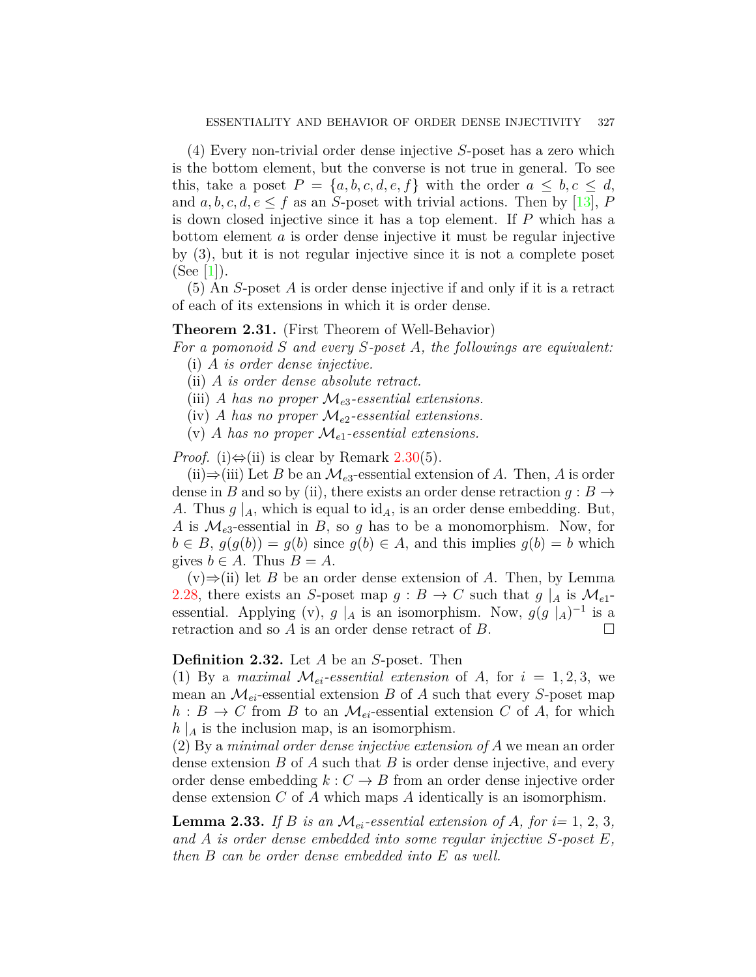(4) Every non-trivial order dense injective *S*-poset has a zero which is the bottom element, but the converse is not true in general. To see this, take a poset  $P = \{a, b, c, d, e, f\}$  with the order  $a \leq b, c \leq d$ , and  $a, b, c, d, e \leq f$  as an *S*-poset with trivial actions. Then by [[13\]](#page-18-11), *P* is down closed injective since it has a top element. If *P* which has a bottom element *a* is order dense injective it must be regular injective by (3), but it is not regular injective since it is not a complete poset  $(See [1]).$  $(See [1]).$  $(See [1]).$ 

(5) An *S*-poset *A* is order dense injective if and only if it is a retract of each of its extensions in which it is order dense.

#### <span id="page-12-0"></span>**Theorem 2.31.** (First Theorem of Well-Behavior)

*For a pomonoid S and every S-poset A, the followings are equivalent:*

- (i) *A is order dense injective.*
- (ii) *A is order dense absolute retract.*
- (iii) *A* has no proper  $\mathcal{M}_{e3}$ -essential extensions.
- (iv) *A* has no proper  $\mathcal{M}_{e2}$ -essential extensions.
- (v) *A* has no proper  $\mathcal{M}_{e1}$ -essential extensions.

*Proof.* (i) $\Leftrightarrow$ (ii) is clear by Remark [2.30\(](#page-11-0)5).

(ii) $\Rightarrow$ (iii) Let *B* be an *M*<sub>*e*3</sub>-essential extension of *A*. Then, *A* is order dense in *B* and so by (ii), there exists an order dense retraction  $g : B \to$ *A*. Thus  $g \mid_A$ , which is equal to id<sub>A</sub>, is an order dense embedding. But, *A* is  $\mathcal{M}_{e3}$ -essential in *B*, so *g* has to be a monomorphism. Now, for  $b \in B$ ,  $q(q(b)) = q(b)$  since  $q(b) \in A$ , and this implies  $q(b) = b$  which gives  $b \in A$ . Thus  $B = A$ .

(v)*⇒*(ii) let *B* be an order dense extension of *A*. Then, by Lemma [2.28](#page-11-1), there exists an *S*-poset map  $g : B \to C$  such that  $g \mid_{A}$  is  $\mathcal{M}_{e1}$ essential. Applying (v),  $g \mid_A$  is an isomorphism. Now,  $g(g \mid_A)^{-1}$  is a retraction and so  $A$  is an order dense retract of  $B$ .

## **Definition 2.32.** Let *A* be an *S*-poset. Then

(1) By a *maximal*  $\mathcal{M}_{ei}$ -essential extension of A, for  $i = 1, 2, 3$ , we mean an  $\mathcal{M}_{ei}$ -essential extension *B* of *A* such that every *S*-poset map  $h: B \to C$  from *B* to an  $\mathcal{M}_{ei}$ -essential extension *C* of *A*, for which  $h \mid_{A}$  is the inclusion map, is an isomorphism.

(2) By a *minimal order dense injective extension of A* we mean an order dense extension *B* of *A* such that *B* is order dense injective, and every order dense embedding  $k : C \to B$  from an order dense injective order dense extension *C* of *A* which maps *A* identically is an isomorphism.

<span id="page-12-1"></span>**Lemma 2.33.** If *B* is an  $\mathcal{M}_{ei}$ -essential extension of *A*, for  $i=1, 2, 3$ , *and A is order dense embedded into some regular injective S-poset E, then B can be order dense embedded into E as well.*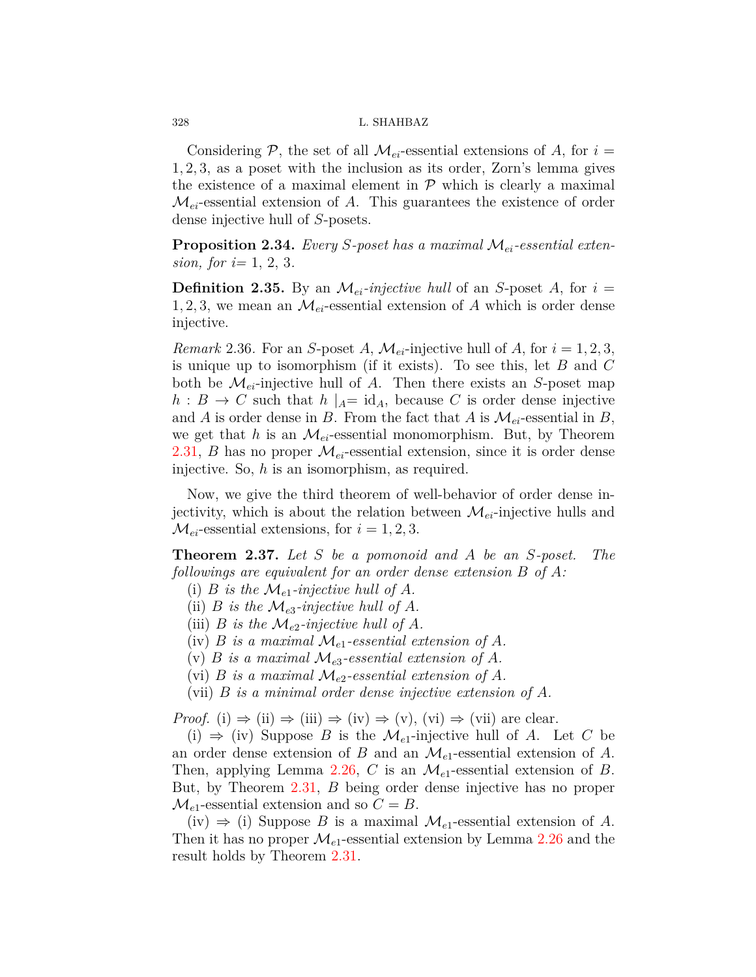Considering  $P$ , the set of all  $M_{ei}$ -essential extensions of A, for  $i =$ 1*,* 2*,* 3, as a poset with the inclusion as its order, Zorn's lemma gives the existence of a maximal element in  $P$  which is clearly a maximal  $\mathcal{M}_{ei}$ -essential extension of  $A$ . This guarantees the existence of order dense injective hull of *S*-posets.

<span id="page-13-0"></span>**Proposition 2.34.** *Every S-poset has a maximal Mei-essential extension, for i=* 1, 2, 3*.*

**Definition 2.35.** By an  $\mathcal{M}_{ei}$ -injective hull of an *S*-poset *A*, for  $i =$ 1, 2, 3, we mean an  $\mathcal{M}_{ei}$ -essential extension of A which is order dense injective.

*Remark* 2.36. For an *S*-poset *A*,  $\mathcal{M}_{ei}$ -injective hull of *A*, for  $i = 1, 2, 3$ , is unique up to isomorphism (if it exists). To see this, let *B* and *C* both be  $\mathcal{M}_{ei}$ -injective hull of *A*. Then there exists an *S*-poset map  $h: B \to C$  such that  $h \mid_{A} = id_{A}$ , because *C* is order dense injective and *A* is order dense in *B*. From the fact that *A* is  $\mathcal{M}_{ei}$ -essential in *B*, we get that *h* is an  $\mathcal{M}_{ei}$ -essential monomorphism. But, by Theorem [2.31](#page-12-0), *B* has no proper  $\mathcal{M}_{ei}$ -essential extension, since it is order dense injective. So, *h* is an isomorphism, as required.

Now, we give the third theorem of well-behavior of order dense injectivity, which is about the relation between  $\mathcal{M}_{ei}$ -injective hulls and  $M_{ei}$ -essential extensions, for  $i = 1, 2, 3$ .

<span id="page-13-1"></span>**Theorem 2.37.** *Let S be a pomonoid and A be an S-poset. The followings are equivalent for an order dense extension B of A:*

- (i) *B* is the  $\mathcal{M}_{e1}$ -injective hull of *A*.
- (ii) *B is the*  $\mathcal{M}_{e3}$ *-injective hull of A.*
- (iii) *B* is the  $\mathcal{M}_{e2}$ -injective hull of *A*.
- (iv) *B is a maximal*  $\mathcal{M}_{e1}$ -essential extension of *A*.
- (v) *B* is a maximal  $\mathcal{M}_{e3}$ -essential extension of *A*.
- (vi) *B is a maximal*  $\mathcal{M}_{e2}$ -essential extension of *A*.
- (vii) *B is a minimal order dense injective extension of A.*

*Proof.* (i)  $\Rightarrow$  (ii)  $\Rightarrow$  (iii)  $\Rightarrow$  (iv)  $\Rightarrow$  (v), (vi)  $\Rightarrow$  (vii) are clear.

(i) *⇒* (iv) Suppose *B* is the *Me*1-injective hull of *A*. Let *C* be an order dense extension of *B* and an *Me*1-essential extension of *A*. Then, applying Lemma [2.26](#page-11-2), *C* is an *Me*1-essential extension of *B*. But, by Theorem [2.31](#page-12-0), *B* being order dense injective has no proper  $\mathcal{M}_{e1}$ -essential extension and so  $C = B$ .

(iv)  $\Rightarrow$  (i) Suppose *B* is a maximal  $\mathcal{M}_{e1}$ -essential extension of *A*. Then it has no proper  $\mathcal{M}_{e1}$ -essential extension by Lemma [2.26](#page-11-2) and the result holds by Theorem [2.31](#page-12-0).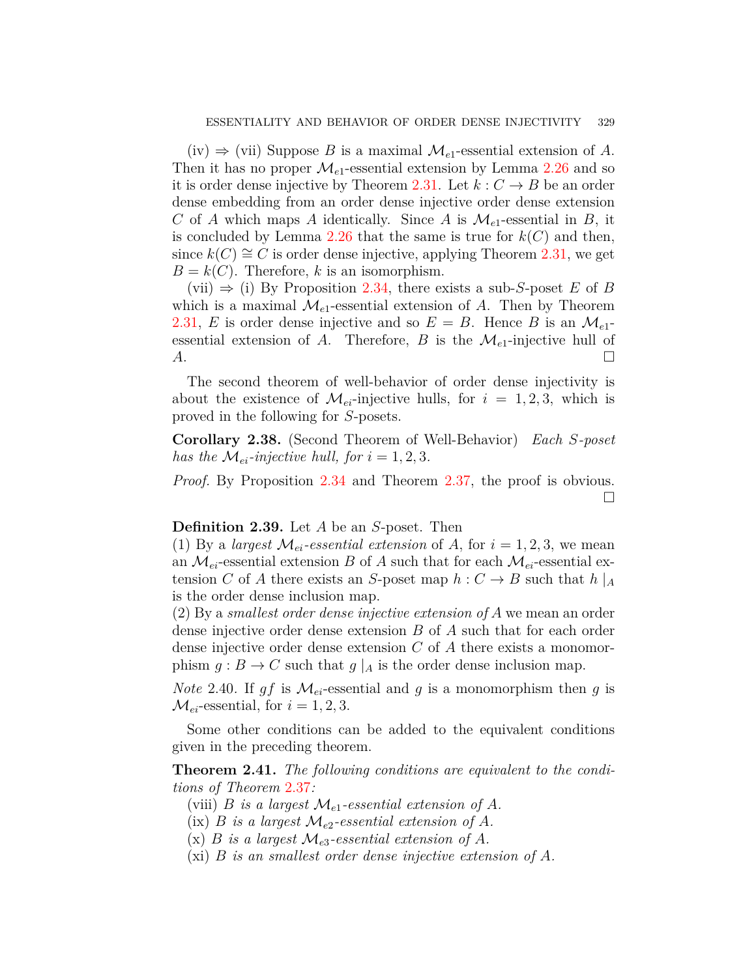(iv) *⇒* (vii) Suppose *B* is a maximal *Me*1-essential extension of *A*. Then it has no proper  $\mathcal{M}_{e1}$ -essential extension by Lemma [2.26](#page-11-2) and so it is order dense injective by Theorem [2.31.](#page-12-0) Let  $k: C \rightarrow B$  be an order dense embedding from an order dense injective order dense extension *C* of *A* which maps *A* identically. Since *A* is  $\mathcal{M}_{e_1}$ -essential in *B*, it is concluded by Lemma [2.26](#page-11-2) that the same is true for  $k(C)$  and then, since  $k(C) \cong C$  is order dense injective, applying Theorem [2.31](#page-12-0), we get  $B = k(C)$ . Therefore, *k* is an isomorphism.

(vii) *⇒* (i) By Proposition [2.34](#page-13-0), there exists a sub-*S*-poset *E* of *B* which is a maximal  $\mathcal{M}_{e_1}$ -essential extension of *A*. Then by Theorem [2.31](#page-12-0), *E* is order dense injective and so  $E = B$ . Hence *B* is an  $\mathcal{M}_{e1}$ essential extension of *A*. Therefore, *B* is the  $\mathcal{M}_{e_1}$ -injective hull of  $A$ .  $\square$ 

The second theorem of well-behavior of order dense injectivity is about the existence of  $\mathcal{M}_{ei}$ -injective hulls, for  $i = 1, 2, 3$ , which is proved in the following for *S*-posets.

<span id="page-14-0"></span>**Corollary 2.38.** (Second Theorem of Well-Behavior) *Each S-poset has the*  $M_{ei}$ -*injective hull, for*  $i = 1, 2, 3$ *.* 

*Proof.* By Proposition [2.34](#page-13-0) and Theorem [2.37](#page-13-1), the proof is obvious. □

### **Definition 2.39.** Let *A* be an *S*-poset. Then

(1) By a *largest*  $\mathcal{M}_{ei}$ -*essential extension* of A, for  $i = 1, 2, 3$ , we mean an  $\mathcal{M}_{ei}$ -essential extension *B* of *A* such that for each  $\mathcal{M}_{ei}$ -essential extension *C* of *A* there exists an *S*-poset map  $h: C \rightarrow B$  such that  $h \mid_{A}$ is the order dense inclusion map.

(2) By a *smallest order dense injective extension of A* we mean an order dense injective order dense extension *B* of *A* such that for each order dense injective order dense extension *C* of *A* there exists a monomorphism  $g : B \to C$  such that  $g \mid_A$  is the order dense inclusion map.

<span id="page-14-1"></span>*Note* 2.40. If  $gf$  is  $\mathcal{M}_{ei}$ -essential and  $g$  is a monomorphism then  $g$  is  $M_{ei}$ -essential, for  $i = 1, 2, 3$ .

Some other conditions can be added to the equivalent conditions given in the preceding theorem.

**Theorem 2.41.** *The following conditions are equivalent to the conditions of Theorem* [2.37](#page-13-1)*:*

- (viii) *B is a largest*  $\mathcal{M}_{e1}$ -essential extension of *A*.
- $(i \times)$  *B is a largest*  $\mathcal{M}_{e2}$ -essential extension of A.
- $(x)$  *B is a largest*  $\mathcal{M}_{e3}$ -essential extension of A.
- (xi) *B is an smallest order dense injective extension of A.*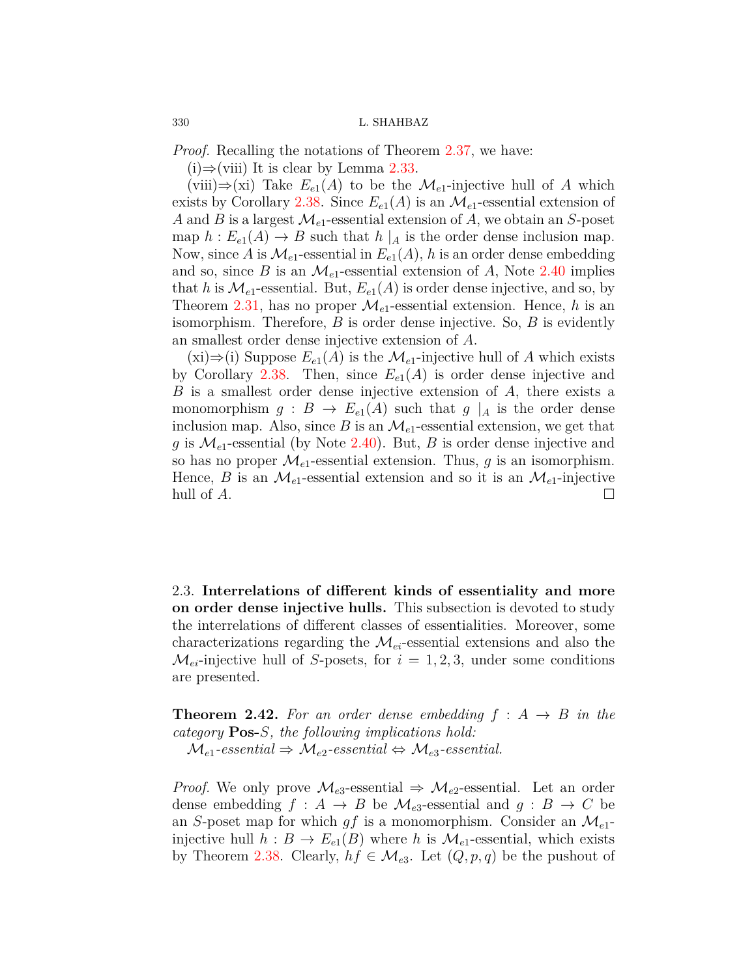*Proof.* Recalling the notations of Theorem [2.37](#page-13-1), we have:

(i)*⇒*(viii) It is clear by Lemma [2.33.](#page-12-1)

(viii) $\Rightarrow$ (xi) Take  $E_{e_1}(A)$  to be the  $\mathcal{M}_{e_1}$ -injective hull of A which exists by Corollary [2.38.](#page-14-0) Since  $E_{e1}(A)$  is an  $\mathcal{M}_{e1}$ -essential extension of *A* and *B* is a largest  $\mathcal{M}_{e1}$ -essential extension of *A*, we obtain an *S*-poset map  $h: E_{e1}(A) \to B$  such that  $h \mid_A$  is the order dense inclusion map. Now, since A is  $\mathcal{M}_{e_1}$ -essential in  $E_{e_1}(A)$ , h is an order dense embedding and so, since *B* is an  $\mathcal{M}_{e1}$ -essential extension of *A*, Note [2.40](#page-14-1) implies that *h* is  $\mathcal{M}_{e_1}$ -essential. But,  $E_{e_1}(A)$  is order dense injective, and so, by Theorem [2.31](#page-12-0), has no proper  $\mathcal{M}_{e1}$ -essential extension. Hence, *h* is an isomorphism. Therefore, *B* is order dense injective. So, *B* is evidently an smallest order dense injective extension of *A*.

 $(xi)$ ⇒(i) Suppose  $E_{e1}(A)$  is the  $\mathcal{M}_{e1}$ -injective hull of A which exists by Corollary [2.38.](#page-14-0) Then, since  $E_{e1}(A)$  is order dense injective and *B* is a smallest order dense injective extension of *A*, there exists a monomorphism  $g : B \to E_{e1}(A)$  such that  $g \mid_A$  is the order dense inclusion map. Also, since  $B$  is an  $\mathcal{M}_{e1}$ -essential extension, we get that g is  $\mathcal{M}_{e1}$ -essential (by Note [2.40](#page-14-1)). But, *B* is order dense injective and so has no proper  $\mathcal{M}_{e1}$ -essential extension. Thus, *g* is an isomorphism. Hence, *B* is an  $\mathcal{M}_{e1}$ -essential extension and so it is an  $\mathcal{M}_{e1}$ -injective hull of  $A$ .

2.3. **Interrelations of different kinds of essentiality and more on order dense injective hulls.** This subsection is devoted to study the interrelations of different classes of essentialities. Moreover, some characterizations regarding the *Mei*-essential extensions and also the  $\mathcal{M}_{ei}$ -injective hull of *S*-posets, for  $i = 1, 2, 3$ , under some conditions are presented.

<span id="page-15-0"></span>**Theorem 2.42.** For an order dense embedding  $f : A \rightarrow B$  in the *category* **Pos-***S, the following implications hold:*

 $\mathcal{M}_{e1}$ -essential  $\Rightarrow \mathcal{M}_{e2}$ -essential  $\Leftrightarrow \mathcal{M}_{e3}$ -essential.

*Proof.* We only prove  $\mathcal{M}_{e3}$ -essential  $\Rightarrow \mathcal{M}_{e2}$ -essential. Let an order dense embedding  $f : A \to B$  be  $\mathcal{M}_{e3}$ -essential and  $g : B \to C$  be an *S*-poset map for which  $qf$  is a monomorphism. Consider an  $\mathcal{M}_{e1}$ injective hull  $h : B \to E_{e1}(B)$  where *h* is  $\mathcal{M}_{e1}$ -essential, which exists by Theorem [2.38.](#page-14-0) Clearly,  $hf \in \mathcal{M}_{e3}$ . Let  $(Q, p, q)$  be the pushout of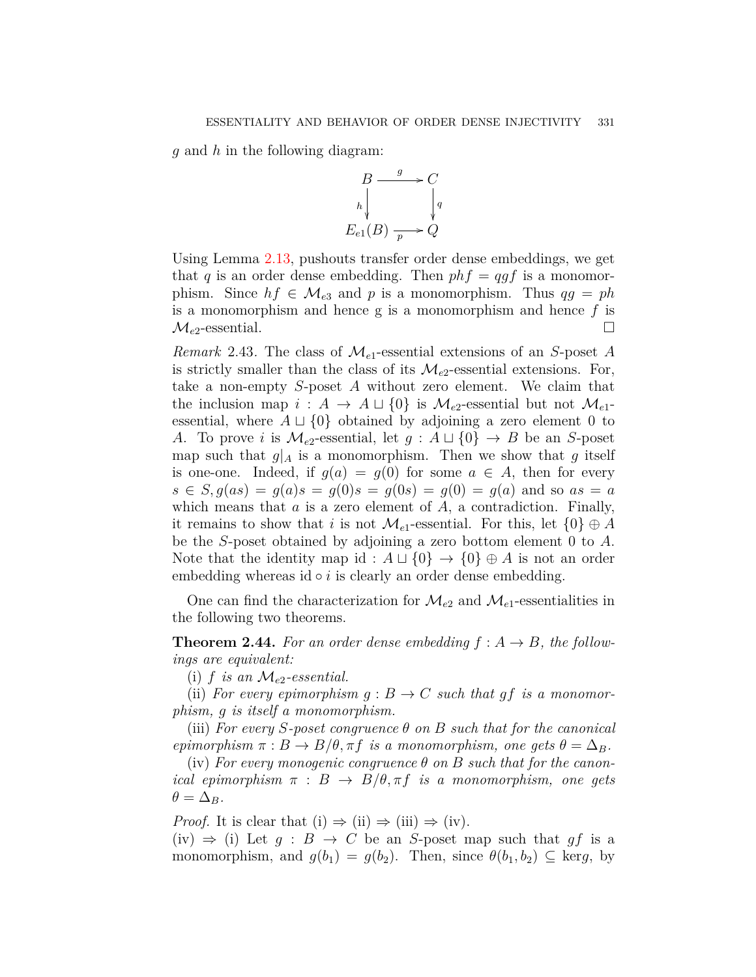*g* and *h* in the following diagram:



Using Lemma [2.13](#page-8-2), pushouts transfer order dense embeddings, we get that *q* is an order dense embedding. Then  $phf = qgf$  is a monomorphism. Since  $hf \in M_{e3}$  and p is a monomorphism. Thus  $qg = ph$ is a monomorphism and hence g is a monomorphism and hence *f* is  $\mathcal{M}_{e2}$ -essential.  $\square$ 

*Remark* 2.43*.* The class of *Me*1-essential extensions of an *S*-poset *A* is strictly smaller than the class of its  $\mathcal{M}_{e2}$ -essential extensions. For, take a non-empty *S*-poset *A* without zero element. We claim that the inclusion map  $i : A \rightarrow A \sqcup \{0\}$  is  $\mathcal{M}_{e2}$ -essential but not  $\mathcal{M}_{e1}$ essential, where  $A \sqcup \{0\}$  obtained by adjoining a zero element 0 to *A*. To prove *i* is  $\mathcal{M}_{e2}$ -essential, let  $g : A \sqcup \{0\} \rightarrow B$  be an *S*-poset map such that  $g|_A$  is a monomorphism. Then we show that g itself is one-one. Indeed, if  $g(a) = g(0)$  for some  $a \in A$ , then for every  $s \in S$ ,  $q(as) = q(a)s = q(0)s = q(0s) = q(0) = q(a)$  and so  $as = a$ which means that *a* is a zero element of *A*, a contradiction. Finally, it remains to show that *i* is not  $\mathcal{M}_{e_1}$ -essential. For this, let  $\{0\} \oplus A$ be the *S*-poset obtained by adjoining a zero bottom element 0 to *A*. Note that the identity map id :  $A \sqcup \{0\} \rightarrow \{0\} \oplus A$  is not an order embedding whereas id ∘ *i* is clearly an order dense embedding.

One can find the characterization for  $\mathcal{M}_{e2}$  and  $\mathcal{M}_{e1}$ -essentialities in the following two theorems.

**Theorem 2.44.** For an order dense embedding  $f : A \rightarrow B$ , the follow*ings are equivalent:*

(i)  $f$  *is an*  $\mathcal{M}_{e2}$ -essential.

(ii) *For every epimorphism*  $g : B \to C$  *such that*  $gf$  *is a monomorphism, g is itself a monomorphism.*

(iii) *For every S-poset congruence θ on B such that for the canonical epimorphism*  $\pi$  :  $B \to B/\theta$ ,  $\pi f$  *is a monomorphism, one gets*  $\theta = \Delta_B$ *.* 

(iv) For every monogenic congruence  $\theta$  on B such that for the canon*ical epimorphism*  $\pi$  :  $B \rightarrow B/\theta, \pi f$  *is a monomorphism, one gets*  $\theta = \Delta_B$ *.* 

*Proof.* It is clear that (i)  $\Rightarrow$  (ii)  $\Rightarrow$  (iii)  $\Rightarrow$  (iv).

(iv)  $\Rightarrow$  (i) Let *g* : *B*  $\rightarrow$  *C* be an *S*-poset map such that *gf* is a monomorphism, and  $g(b_1) = g(b_2)$ . Then, since  $\theta(b_1, b_2) \subseteq \text{ker } g$ , by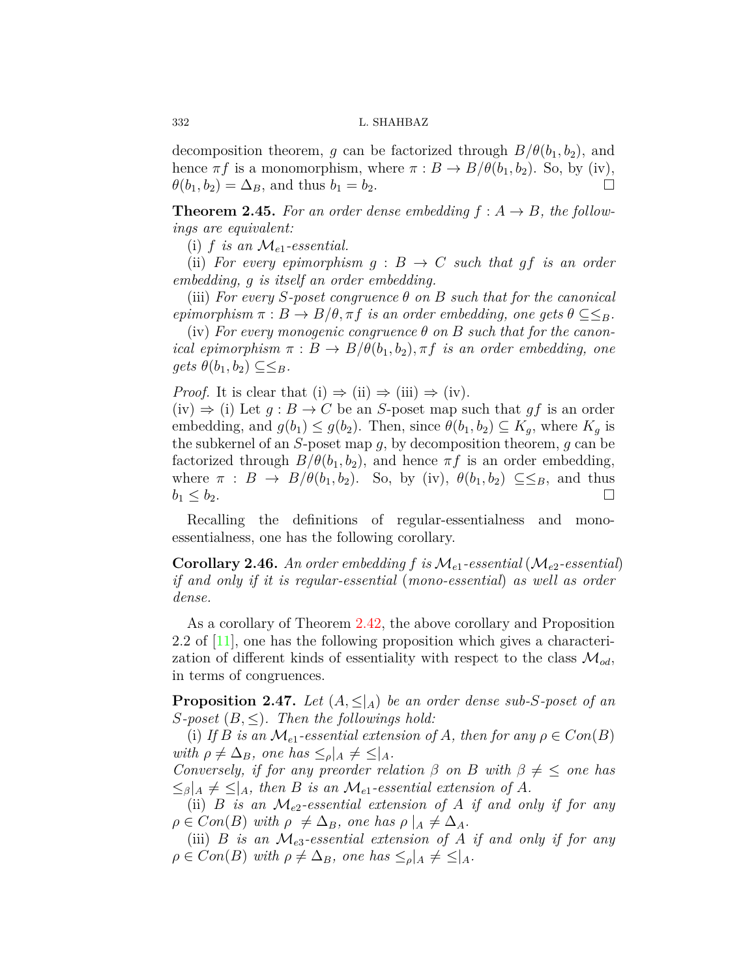decomposition theorem, *g* can be factorized through  $B/\theta(b_1, b_2)$ , and hence  $\pi f$  is a monomorphism, where  $\pi : B \to B/\theta(b_1, b_2)$ . So, by (iv),  $\theta(b_1, b_2) = \Delta_B$ , and thus  $b_1 = b_2$ . □

**Theorem 2.45.** For an order dense embedding  $f : A \rightarrow B$ , the follow*ings are equivalent:*

(i)  $f$  *is an*  $\mathcal{M}_{e1}$ -essential.

(ii) For every epimorphism  $g : B \to C$  such that  $gf$  is an order *embedding, g is itself an order embedding.*

(iii) *For every S-poset congruence θ on B such that for the canonical epimorphism*  $\pi$  :  $B \to B/\theta$ ,  $\pi f$  *is an order embedding, one gets*  $\theta \subseteq \leq_B$ *.* 

(iv) For every monogenic congruence  $\theta$  on B such that for the canon*ical epimorphism*  $\pi$  :  $B \to B/\theta(b_1, b_2)$ ,  $\pi f$  *is an order embedding, one*  $gets \theta(b_1, b_2) \subseteq \leq_B$ .

*Proof.* It is clear that  $(i) \Rightarrow (ii) \Rightarrow (iii) \Rightarrow (iv)$ .

(iv)  $\Rightarrow$  (i) Let  $g : B \rightarrow C$  be an *S*-poset map such that  $gf$  is an order embedding, and  $g(b_1) \leq g(b_2)$ . Then, since  $\theta(b_1, b_2) \subseteq K_q$ , where  $K_q$  is the subkernel of an *S*-poset map *g*, by decomposition theorem, *g* can be factorized through  $B/\theta(b_1, b_2)$ , and hence  $\pi f$  is an order embedding, where  $\pi$  :  $B \to B/\theta(b_1, b_2)$ . So, by (iv),  $\theta(b_1, b_2) \subseteq \leq_B$ , and thus  $b_1 \leq b_2$ .

Recalling the definitions of regular-essentialness and monoessentialness, one has the following corollary.

**Corollary 2.46.** An order embedding  $f$  is  $\mathcal{M}_{e1}$ -essential ( $\mathcal{M}_{e2}$ -essential) *if and only if it is regular-essential* (*mono-essential*) *as well as order dense.*

As a corollary of Theorem [2.42,](#page-15-0) the above corollary and Proposition 2.2 of [\[11\]](#page-18-8), one has the following proposition which gives a characterization of different kinds of essentiality with respect to the class  $\mathcal{M}_{od}$ , in terms of congruences.

**Proposition 2.47.** Let  $(A, \leq_A)$  be an order dense sub-*S*-poset of an *S*-poset  $(B, \leq)$ *. Then the followings hold:* 

(i) If *B* is an  $\mathcal{M}_{e_1}$ -essential extension of *A*, then for any  $\rho \in Con(B)$  $with \rho \neq \Delta_B$ *, one has*  $\leq_{\rho}$ | $_A \neq \leq$ | $_A$ *.* 

*Conversely, if for any preorder relation*  $\beta$  *on*  $B$  *with*  $\beta \neq \leq$  *one has*  $\leq$ <sup>*β*</sup>| $A \neq \leq$ | $A$ , then *B* is an  $\mathcal{M}_{e1}$ -essential extension of *A*.

(ii) *B is an Me*2*-essential extension of A if and only if for any*  $\rho \in Con(B)$  *with*  $\rho \neq \Delta_B$ *, one has*  $\rho |_A \neq \Delta_A$ *.* 

(iii) *B is an*  $\mathcal{M}_{e3}$ -essential extension of *A if and only if for any*  $\rho \in Con(B)$  *with*  $\rho \neq \Delta_B$ *, one has*  $\leq_{\rho}|_A \neq \leq |_A$ *.*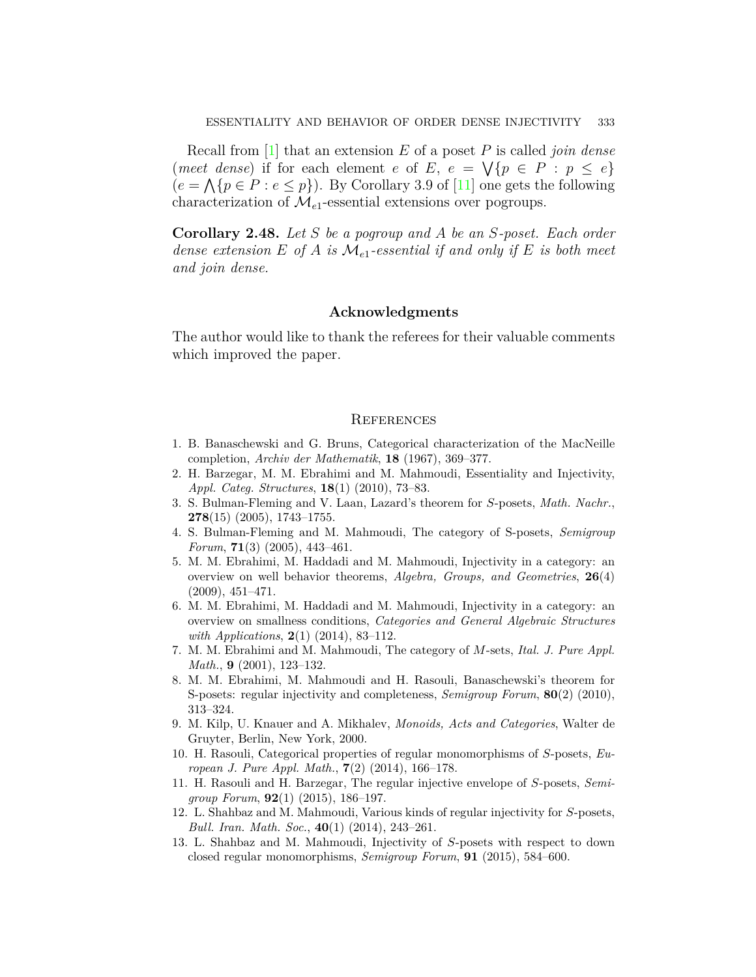Recall from [\[1](#page-18-12)] that an extension *E* of a poset *P* is called *join dense*  $(met \text{ dense})$  if for each element *e* of *E*,  $e = \sqrt{p} \in P : p \leq e$  $(e = \bigwedge \{p \in P : e \leq p\})$ . By Corollary 3.9 of [\[11\]](#page-18-8) one gets the following characterization of *Me*1-essential extensions over pogroups.

**Corollary 2.48.** *Let S be a pogroup and A be an S-poset. Each order dense extension E of A is Me*1*-essential if and only if E is both meet and join dense.*

## **Acknowledgments**

The author would like to thank the referees for their valuable comments which improved the paper.

#### **REFERENCES**

- <span id="page-18-12"></span>1. B. Banaschewski and G. Bruns, Categorical characterization of the MacNeille completion, *Archiv der Mathematik*, **18** (1967), 369–377.
- <span id="page-18-4"></span>2. H. Barzegar, M. M. Ebrahimi and M. Mahmoudi, Essentiality and Injectivity, *Appl. Categ. Structures*, **18**(1) (2010), 73–83.
- <span id="page-18-10"></span>3. S. Bulman-Fleming and V. Laan, Lazard's theorem for *S*-posets, *Math. Nachr.*, **278**(15) (2005), 1743–1755.
- <span id="page-18-5"></span>4. S. Bulman-Fleming and M. Mahmoudi, The category of S-posets, *Semigroup Forum*, **71**(3) (2005), 443–461.
- <span id="page-18-2"></span>5. M. M. Ebrahimi, M. Haddadi and M. Mahmoudi, Injectivity in a category: an overview on well behavior theorems, *Algebra, Groups, and Geometries*, **26**(4) (2009), 451–471.
- <span id="page-18-3"></span>6. M. M. Ebrahimi, M. Haddadi and M. Mahmoudi, Injectivity in a category: an overview on smallness conditions, *Categories and General Algebraic Structures with Applications*, **2**(1) (2014), 83–112.
- <span id="page-18-6"></span>7. M. M. Ebrahimi and M. Mahmoudi, The category of *M*-sets, *Ital. J. Pure Appl. Math.*, **9** (2001), 123–132.
- <span id="page-18-0"></span>8. M. M. Ebrahimi, M. Mahmoudi and H. Rasouli, Banaschewski's theorem for S-posets: regular injectivity and completeness, *Semigroup Forum*, **80**(2) (2010), 313–324.
- <span id="page-18-7"></span>9. M. Kilp, U. Knauer and A. Mikhalev, *Monoids, Acts and Categories*, Walter de Gruyter, Berlin, New York, 2000.
- <span id="page-18-9"></span>10. H. Rasouli, Categorical properties of regular monomorphisms of *S*-posets, *European J. Pure Appl. Math.*, **7**(2) (2014), 166–178.
- <span id="page-18-8"></span>11. H. Rasouli and H. Barzegar, The regular injective envelope of *S*-posets, *Semigroup Forum*, **92**(1) (2015), 186–197.
- <span id="page-18-1"></span>12. L. Shahbaz and M. Mahmoudi, Various kinds of regular injectivity for *S*-posets, *Bull. Iran. Math. Soc.*, **40**(1) (2014), 243–261.
- <span id="page-18-11"></span>13. L. Shahbaz and M. Mahmoudi, Injectivity of *S*-posets with respect to down closed regular monomorphisms, *Semigroup Forum*, **91** (2015), 584–600.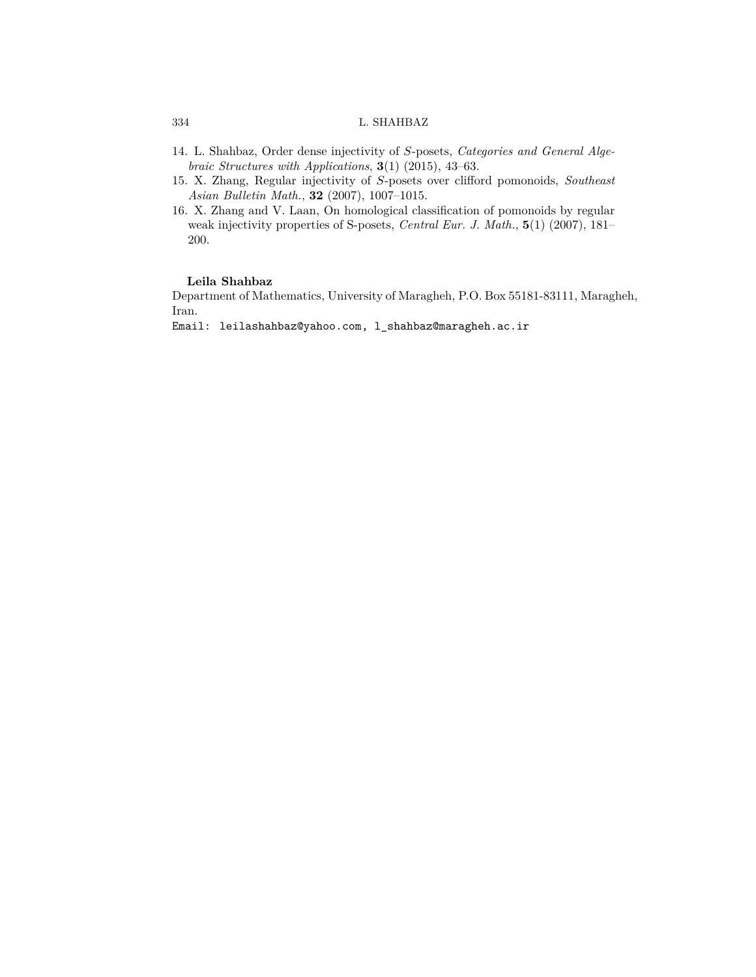- <span id="page-19-2"></span>14. L. Shahbaz, Order dense injectivity of *S*-posets, *Categories and General Algebraic Structures with Applications*, **3**(1) (2015), 43–63.
- <span id="page-19-0"></span>15. X. Zhang, Regular injectivity of *S*-posets over clifford pomonoids, *Southeast Asian Bulletin Math.*, **32** (2007), 1007–1015.
- <span id="page-19-1"></span>16. X. Zhang and V. Laan, On homological classification of pomonoids by regular weak injectivity properties of S-posets, *Central Eur. J. Math.*, **5**(1) (2007), 181– 200.

## **Leila Shahbaz**

Department of Mathematics, University of Maragheh, P.O. Box 55181-83111, Maragheh, Iran.

Email: leilashahbaz@yahoo.com, l\_shahbaz@maragheh.ac.ir